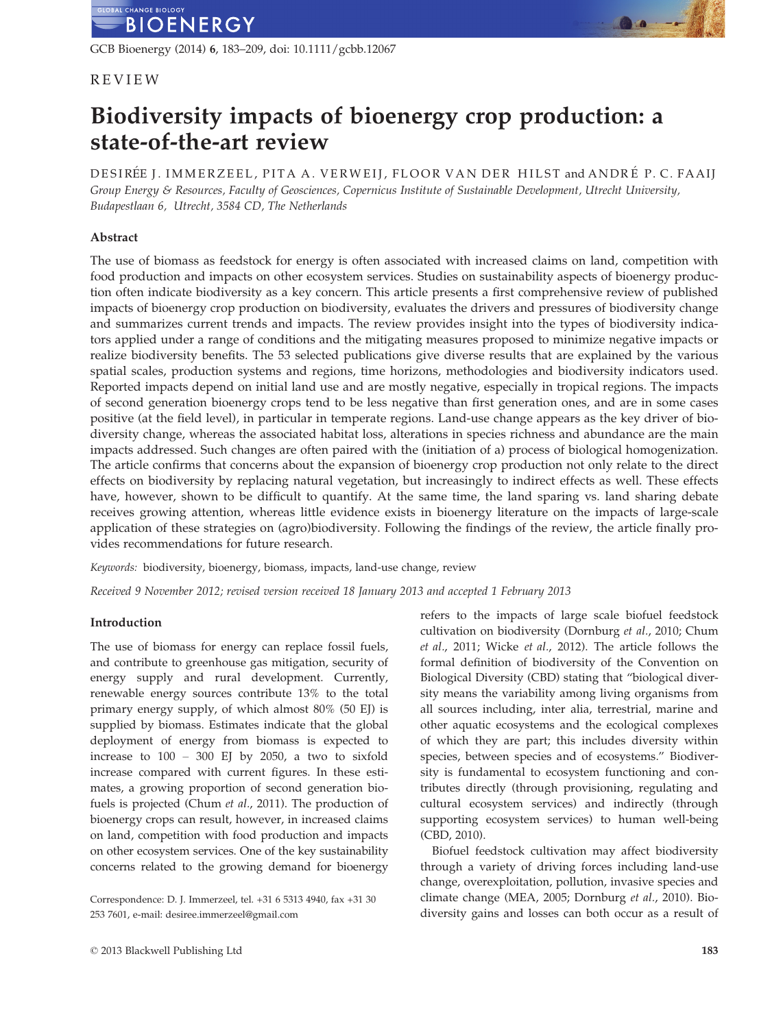GCB Bioenergy (2014) 6, 183–209, doi: 10.1111/gcbb.12067

# REVIEW

# Biodiversity impacts of bioenergy crop production: a state-of-the-art review

DESIRÉE J. IMMERZEEL, PITA A. VERWEIJ, FLOOR VAN DER HILST and ANDRÉ P. C. FAAIJ Group Energy & Resources, Faculty of Geosciences, Copernicus Institute of Sustainable Development, Utrecht University, Budapestlaan 6, Utrecht, 3584 CD, The Netherlands

## Abstract

The use of biomass as feedstock for energy is often associated with increased claims on land, competition with food production and impacts on other ecosystem services. Studies on sustainability aspects of bioenergy production often indicate biodiversity as a key concern. This article presents a first comprehensive review of published impacts of bioenergy crop production on biodiversity, evaluates the drivers and pressures of biodiversity change and summarizes current trends and impacts. The review provides insight into the types of biodiversity indicators applied under a range of conditions and the mitigating measures proposed to minimize negative impacts or realize biodiversity benefits. The 53 selected publications give diverse results that are explained by the various spatial scales, production systems and regions, time horizons, methodologies and biodiversity indicators used. Reported impacts depend on initial land use and are mostly negative, especially in tropical regions. The impacts of second generation bioenergy crops tend to be less negative than first generation ones, and are in some cases positive (at the field level), in particular in temperate regions. Land-use change appears as the key driver of biodiversity change, whereas the associated habitat loss, alterations in species richness and abundance are the main impacts addressed. Such changes are often paired with the (initiation of a) process of biological homogenization. The article confirms that concerns about the expansion of bioenergy crop production not only relate to the direct effects on biodiversity by replacing natural vegetation, but increasingly to indirect effects as well. These effects have, however, shown to be difficult to quantify. At the same time, the land sparing vs. land sharing debate receives growing attention, whereas little evidence exists in bioenergy literature on the impacts of large-scale application of these strategies on (agro)biodiversity. Following the findings of the review, the article finally provides recommendations for future research.

Keywords: biodiversity, bioenergy, biomass, impacts, land-use change, review

Received 9 November 2012; revised version received 18 January 2013 and accepted 1 February 2013

## Introduction

The use of biomass for energy can replace fossil fuels, and contribute to greenhouse gas mitigation, security of energy supply and rural development. Currently, renewable energy sources contribute 13% to the total primary energy supply, of which almost 80% (50 EJ) is supplied by biomass. Estimates indicate that the global deployment of energy from biomass is expected to increase to  $100 - 300$  EJ by 2050, a two to sixfold increase compared with current figures. In these estimates, a growing proportion of second generation biofuels is projected (Chum et al., 2011). The production of bioenergy crops can result, however, in increased claims on land, competition with food production and impacts on other ecosystem services. One of the key sustainability concerns related to the growing demand for bioenergy

Correspondence: D. J. Immerzeel, tel. +31 6 5313 4940, fax +31 30 253 7601, e-mail: desiree.immerzeel@gmail.com

cultivation on biodiversity (Dornburg et al., 2010; Chum et al., 2011; Wicke et al., 2012). The article follows the formal definition of biodiversity of the Convention on Biological Diversity (CBD) stating that "biological diversity means the variability among living organisms from all sources including, inter alia, terrestrial, marine and other aquatic ecosystems and the ecological complexes of which they are part; this includes diversity within species, between species and of ecosystems." Biodiversity is fundamental to ecosystem functioning and contributes directly (through provisioning, regulating and cultural ecosystem services) and indirectly (through supporting ecosystem services) to human well-being (CBD, 2010).

refers to the impacts of large scale biofuel feedstock

Biofuel feedstock cultivation may affect biodiversity through a variety of driving forces including land-use change, overexploitation, pollution, invasive species and climate change (MEA, 2005; Dornburg et al., 2010). Biodiversity gains and losses can both occur as a result of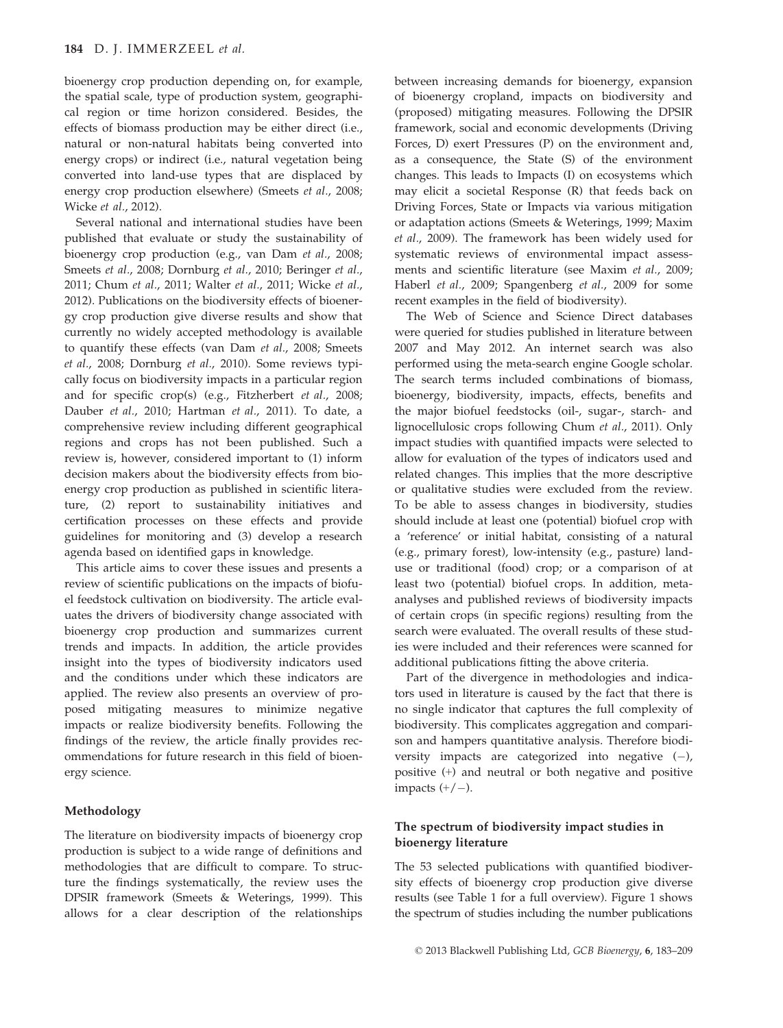bioenergy crop production depending on, for example, the spatial scale, type of production system, geographical region or time horizon considered. Besides, the effects of biomass production may be either direct (i.e., natural or non-natural habitats being converted into energy crops) or indirect (i.e., natural vegetation being converted into land-use types that are displaced by energy crop production elsewhere) (Smeets et al., 2008; Wicke et al., 2012).

Several national and international studies have been published that evaluate or study the sustainability of bioenergy crop production (e.g., van Dam et al., 2008; Smeets et al., 2008; Dornburg et al., 2010; Beringer et al., 2011; Chum et al., 2011; Walter et al., 2011; Wicke et al., 2012). Publications on the biodiversity effects of bioenergy crop production give diverse results and show that currently no widely accepted methodology is available to quantify these effects (van Dam et al., 2008; Smeets et al., 2008; Dornburg et al., 2010). Some reviews typically focus on biodiversity impacts in a particular region and for specific crop(s) (e.g., Fitzherbert et al., 2008; Dauber et al., 2010; Hartman et al., 2011). To date, a comprehensive review including different geographical regions and crops has not been published. Such a review is, however, considered important to (1) inform decision makers about the biodiversity effects from bioenergy crop production as published in scientific literature, (2) report to sustainability initiatives and certification processes on these effects and provide guidelines for monitoring and (3) develop a research agenda based on identified gaps in knowledge.

This article aims to cover these issues and presents a review of scientific publications on the impacts of biofuel feedstock cultivation on biodiversity. The article evaluates the drivers of biodiversity change associated with bioenergy crop production and summarizes current trends and impacts. In addition, the article provides insight into the types of biodiversity indicators used and the conditions under which these indicators are applied. The review also presents an overview of proposed mitigating measures to minimize negative impacts or realize biodiversity benefits. Following the findings of the review, the article finally provides recommendations for future research in this field of bioenergy science.

## Methodology

The literature on biodiversity impacts of bioenergy crop production is subject to a wide range of definitions and methodologies that are difficult to compare. To structure the findings systematically, the review uses the DPSIR framework (Smeets & Weterings, 1999). This allows for a clear description of the relationships between increasing demands for bioenergy, expansion of bioenergy cropland, impacts on biodiversity and (proposed) mitigating measures. Following the DPSIR framework, social and economic developments (Driving Forces, D) exert Pressures (P) on the environment and, as a consequence, the State (S) of the environment changes. This leads to Impacts (I) on ecosystems which may elicit a societal Response (R) that feeds back on Driving Forces, State or Impacts via various mitigation or adaptation actions (Smeets & Weterings, 1999; Maxim et al., 2009). The framework has been widely used for systematic reviews of environmental impact assessments and scientific literature (see Maxim et al., 2009; Haberl et al., 2009; Spangenberg et al., 2009 for some recent examples in the field of biodiversity).

The Web of Science and Science Direct databases were queried for studies published in literature between 2007 and May 2012. An internet search was also performed using the meta-search engine Google scholar. The search terms included combinations of biomass, bioenergy, biodiversity, impacts, effects, benefits and the major biofuel feedstocks (oil-, sugar-, starch- and lignocellulosic crops following Chum et al., 2011). Only impact studies with quantified impacts were selected to allow for evaluation of the types of indicators used and related changes. This implies that the more descriptive or qualitative studies were excluded from the review. To be able to assess changes in biodiversity, studies should include at least one (potential) biofuel crop with a 'reference' or initial habitat, consisting of a natural (e.g., primary forest), low-intensity (e.g., pasture) landuse or traditional (food) crop; or a comparison of at least two (potential) biofuel crops. In addition, metaanalyses and published reviews of biodiversity impacts of certain crops (in specific regions) resulting from the search were evaluated. The overall results of these studies were included and their references were scanned for additional publications fitting the above criteria.

Part of the divergence in methodologies and indicators used in literature is caused by the fact that there is no single indicator that captures the full complexity of biodiversity. This complicates aggregation and comparison and hampers quantitative analysis. Therefore biodiversity impacts are categorized into negative  $(-)$ , positive (+) and neutral or both negative and positive impacts  $(+/-)$ .

# The spectrum of biodiversity impact studies in bioenergy literature

The 53 selected publications with quantified biodiversity effects of bioenergy crop production give diverse results (see Table 1 for a full overview). Figure 1 shows the spectrum of studies including the number publications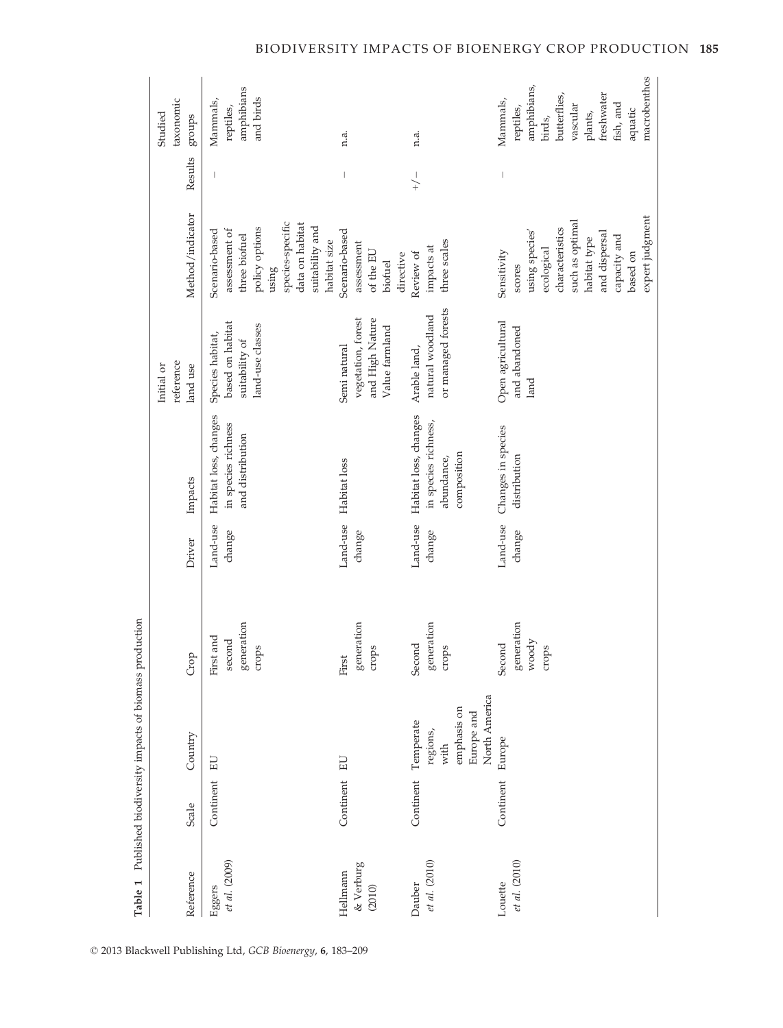|                                 |           | Table 1 Published biodiversity impacts of biomass production                |                                            |                    |                                                                            |                                                                            |                                                                                                                                                                             |                                |                                                                                                                                             |
|---------------------------------|-----------|-----------------------------------------------------------------------------|--------------------------------------------|--------------------|----------------------------------------------------------------------------|----------------------------------------------------------------------------|-----------------------------------------------------------------------------------------------------------------------------------------------------------------------------|--------------------------------|---------------------------------------------------------------------------------------------------------------------------------------------|
|                                 |           |                                                                             |                                            |                    |                                                                            | reference<br>Initial or                                                    |                                                                                                                                                                             |                                | taxonomic<br>Studied                                                                                                                        |
| Reference                       | Scale     | Country                                                                     | Crop                                       | Driver             | Impacts                                                                    | land use                                                                   | Method/indicator                                                                                                                                                            | Results                        | groups                                                                                                                                      |
| et al. (2009)<br>Eggers         | Continent | 已                                                                           | generation<br>First and<br>second<br>crops | Land-use<br>change | Habitat loss, changes<br>in species richness<br>and distribution           | based on habitat<br>land-use classes<br>Species habitat,<br>suitability of | species-specific<br>data on habitat<br>suitability and<br>policy options<br>assessment of<br>Scenario-based<br>three biofuel<br>habitat size<br>$\operatorname{using}$      |                                | amphibians<br>and birds<br>Mammals,<br>reptiles,                                                                                            |
| & Verburg<br>Hellmann<br>(2010) | Continent | E                                                                           | generation<br>crops<br>First               | change             | Land-use Habitat loss                                                      | and High Nature<br>vegetation, forest<br>Value farmland<br>Semi natural    | Scenario-based<br>assessment<br>of the EU<br>directive<br>biofuel                                                                                                           | $\begin{array}{c} \end{array}$ | n.a.                                                                                                                                        |
| et al. (2010)<br>Dauber         | Continent | North America<br>emphasis on<br>Europe and<br>Temperate<br>regions,<br>with | generation<br>Second<br>crops              | Land-use<br>change | Habitat loss, changes<br>in species richness,<br>composition<br>abundance, | or managed forests<br>natural woodland<br>Arable land,                     | three scales<br>impacts at<br>Review of                                                                                                                                     | $-$ /+                         | n.a.                                                                                                                                        |
| et al. (2010)<br>Louette        | Continent | Europe                                                                      | generation<br>woody<br>Second<br>crops     | Land-use<br>change | Changes in species<br>distribution                                         | Open agricultural<br>and abandoned<br>land                                 | expert judgment<br>such as optimal<br>characteristics<br>using species'<br>and dispersal<br>capacity and<br>habitat type<br>ecological<br>Sensitivity<br>based on<br>scores | $\overline{\phantom{a}}$       | macrobenthos<br>amphibians,<br>freshwater<br>butterflies,<br>Mammals,<br>fish, and<br>vascular<br>reptiles,<br>aquatic<br>plants,<br>birds, |

© 2013 Blackwell Publishing Ltd, GCB Bioenergy, 6, 183–209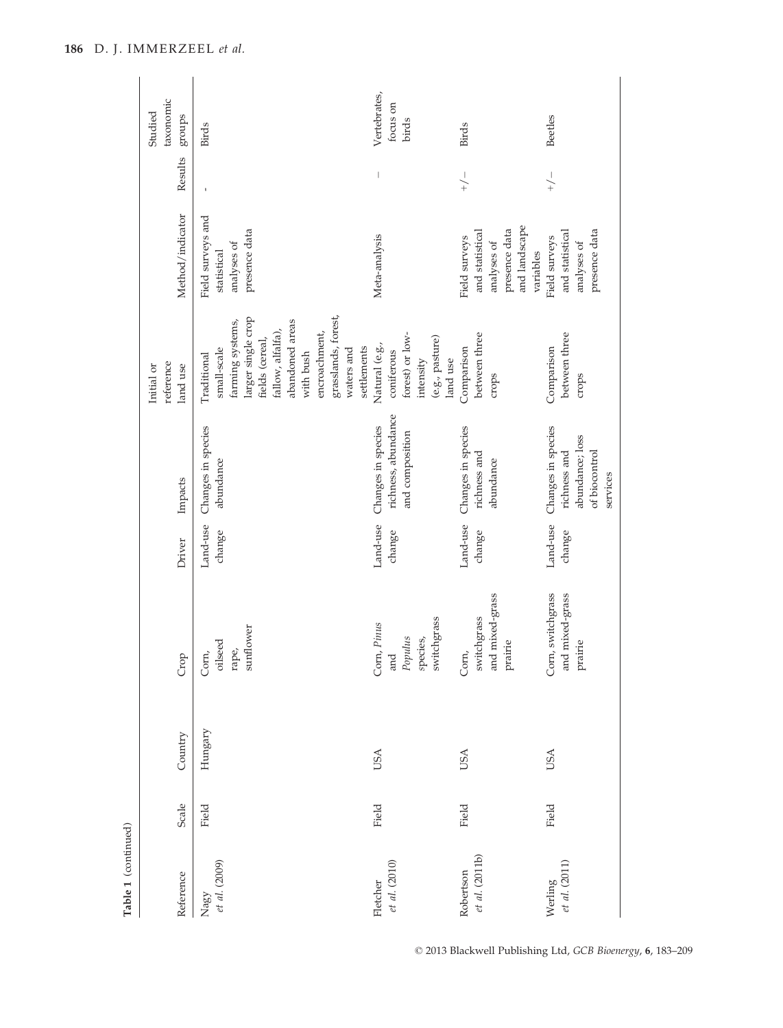| Reference                   | Scale | Country | Crop                                                     | Driver             | Impacts                                                                            | reference<br>Initial or<br>land use                                                                                                                                                                               | Method/indicator                                                                               | Results                  | taxonomic<br>Studied<br>sdnorß    |
|-----------------------------|-------|---------|----------------------------------------------------------|--------------------|------------------------------------------------------------------------------------|-------------------------------------------------------------------------------------------------------------------------------------------------------------------------------------------------------------------|------------------------------------------------------------------------------------------------|--------------------------|-----------------------------------|
| et al. (2009)<br>Nagy       | Field | Hungary | sunflower<br>oilseed<br>rape,<br>$\operatorname{Com},$   | Land-use<br>change | Changes in species<br>abundance                                                    | grasslands, forest,<br>larger single crop<br>abandoned areas<br>farming systems,<br>fallow, alfalfa),<br>encroachment,<br>fields (cereal,<br>settlements<br>small-scale<br>waters and<br>with bush<br>Traditional | Field surveys and<br>presence data<br>analyses of<br>statistical                               |                          | <b>Birds</b>                      |
| et al. (2010)<br>Fletcher   | Field | USA     | and<br>Populus<br>species,<br>switchgrass<br>Corn, Pinus | Land-use<br>change | richness, abundance<br>Changes in species<br>and composition                       | forest) or low-<br>(e.g., pasture)<br>Natural (e.g.,<br>coniferous<br>land use<br>intensity                                                                                                                       | Meta-analysis                                                                                  | $\overline{\phantom{a}}$ | Vertebrates,<br>focus on<br>birds |
| et al. (2011b)<br>Robertson | Field | USA     | and mixed-grass<br>switchgrass<br>prairie<br>Corn,       | Land-use<br>change | Changes in species<br>richness and<br>abundance                                    | between three<br>Comparison<br>crops                                                                                                                                                                              | and landscape<br>presence data<br>and statistical<br>Field surveys<br>analyses of<br>variables | $-\bigg\}$               | <b>Birds</b>                      |
| et al. (2011)<br>Werling    | Field | USA     | Corn, switchgrass<br>and mixed-grass<br>prairie          | Land-use<br>change | Changes in species<br>abundance; loss<br>richness and<br>of biocontrol<br>services | between three<br>Comparison<br>crops                                                                                                                                                                              | presence data<br>and statistical<br>Field surveys<br>analyses of                               | $-\bigg\}$               | <b>Beetles</b>                    |

 ${\bf Table ~1}$  (continued)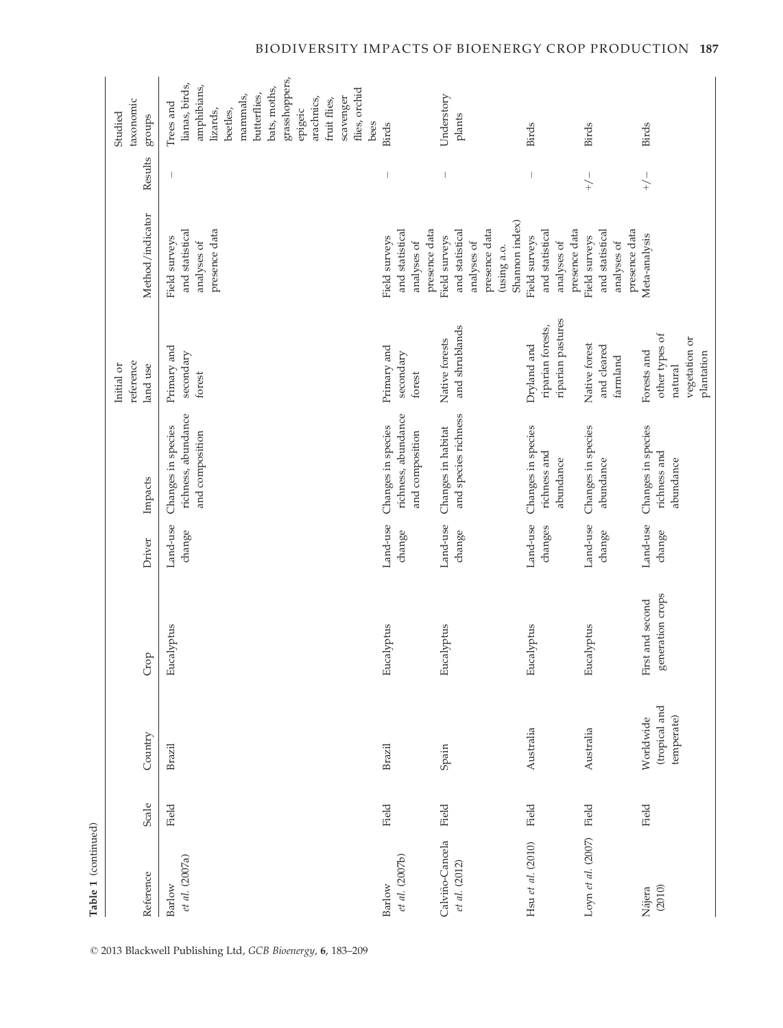| Reference                                  | Scale | Country                                  | Crop                                 | Driver              | Impacts                                                      | reference<br>Initial or<br>land use                                     | Method/indicator                                                                                  | Results                  | taxonomic<br>Studied<br>groups                                                                                                                                                                                 |
|--------------------------------------------|-------|------------------------------------------|--------------------------------------|---------------------|--------------------------------------------------------------|-------------------------------------------------------------------------|---------------------------------------------------------------------------------------------------|--------------------------|----------------------------------------------------------------------------------------------------------------------------------------------------------------------------------------------------------------|
| $et\ al.\ (2007a)$<br>Barlow               | Field | Brazil                                   | Eucalyptus                           | Land-use<br>change  | richness, abundance<br>Changes in species<br>and composition | Primary and<br>secondary<br>forest                                      | presence data<br>and statistical<br>Field surveys<br>analyses of                                  |                          | grasshoppers,<br>lianas, birds,<br>amphibians,<br>bats, moths,<br>flies, orchid<br>butterflies,<br>mammals,<br>scavenger<br>arachnics,<br>fruit flies,<br>Trees and<br>epigeic<br>lizards,<br>beetles,<br>bees |
| $et$ $al.$ $\left( 2007b\right)$<br>Barlow | Field | Brazil                                   | Eucalyptus                           | Land-use<br>change  | richness, abundance<br>Changes in species<br>and composition | Primary and<br>secondary<br>forest                                      | and statistical<br>presence data<br>Field surveys<br>analyses of                                  |                          | <b>Birds</b>                                                                                                                                                                                                   |
| Calviño-Cancela<br>et al. (2012)           | Field | Spain                                    | Eucalyptus                           | Land-use<br>change  | and species richness<br>Changes in habitat                   | and shrublands<br>Native forests                                        | Shannon index)<br>and statistical<br>presence data<br>Field surveys<br>analyses of<br>(using a.o. | $\overline{\phantom{a}}$ | Understory<br>plants                                                                                                                                                                                           |
| Hsu et al. $(2010)$                        | Field | Australia                                | Eucalyptus                           | Land-use<br>changes | Changes in species<br>richness and<br>abundance              | riparian pastures<br>riparian forests,<br>Dryland and                   | and statistical<br>presence data<br>Field surveys<br>analyses of                                  |                          | <b>Birds</b>                                                                                                                                                                                                   |
| Loyn et al. (2007) Field                   |       | Australia                                | Eucalyptus                           | Land-use<br>change  | Changes in species<br>abundance                              | Native forest<br>and cleared<br>farmland                                | and statistical<br>presence data<br>Field surveys<br>analyses of                                  | $-\bigg\{ +$             | <b>Birds</b>                                                                                                                                                                                                   |
| (2010)<br>Nájera                           | Field | (tropical and<br>temperate)<br>Worldwide | generation crops<br>First and second | Land-use<br>change  | Changes in species<br>richness and<br>abundance              | other types of<br>vegetation or<br>Forests and<br>plantation<br>natural | Meta-analysis                                                                                     | $-\bigg\}$               | <b>Birds</b>                                                                                                                                                                                                   |

© 2013 Blackwell Publishing Ltd, GCB Bioenergy, 6, 183–209

Table 1 (continued)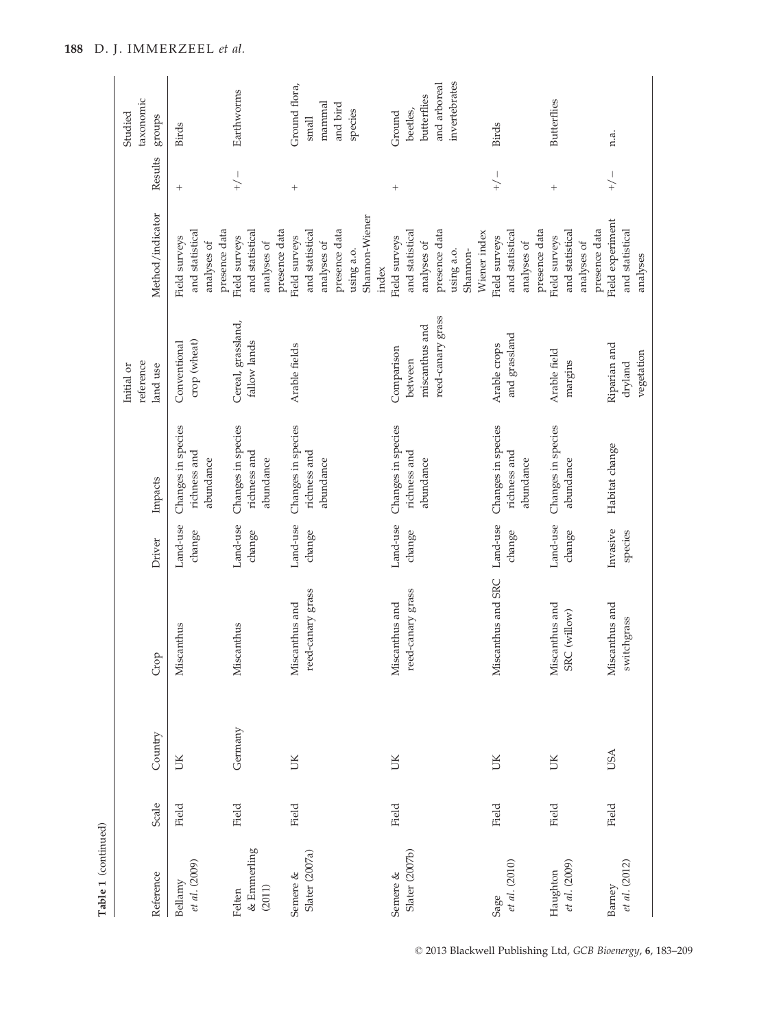| Reference                       | Scale | Country | Crop                                | Driver              | Impacts                                         | reference<br>land use<br>Initial or                          | Method/indicator                                                                                                    | Results         | taxonomic<br>Studied<br><i><b>Stonps</b></i>                       |
|---------------------------------|-------|---------|-------------------------------------|---------------------|-------------------------------------------------|--------------------------------------------------------------|---------------------------------------------------------------------------------------------------------------------|-----------------|--------------------------------------------------------------------|
| et al. (2009)<br>Bellamy        | Field | UK      | Miscanthus                          | Land-use<br>change  | Changes in species<br>richness and<br>abundance | crop (wheat)<br>Conventional                                 | presence data<br>and statistical<br>Field surveys<br>analyses of                                                    | $^{+}$          | <b>Birds</b>                                                       |
| & Emmerling<br>(2011)<br>Felten | Field | Germany | Miscanthus                          | Land-use<br>change  | Changes in species<br>richness and<br>abundance | Cereal, grassland,<br>fallow lands                           | presence data<br>and statistical<br>Field surveys<br>analyses of                                                    | $-\bigg\} +$    | Earthworms                                                         |
| Slater (2007a)<br>Semere &      | Field | UK      | reed-canary grass<br>Miscanthus and | Land-use<br>change  | Changes in species<br>richness and<br>abundance | Arable fields                                                | Shannon-Wiener<br>presence data<br>and statistical<br>Field surveys<br>analyses of<br>using a.o.                    | $^{+}$          | Ground flora,<br>mammal<br>and bird<br>species<br>small            |
| Slater (2007b)<br>Semere &      | Field | UK      | reed-canary grass<br>Miscanthus and | Land-use<br>change  | Changes in species<br>richness and<br>abundance | reed-canary grass<br>miscanthus and<br>Comparison<br>between | and statistical<br>presence data<br>Wiener index<br>Field surveys<br>analyses of<br>using a.o.<br>Shannon-<br>index | $^{+}$          | invertebrates<br>and arboreal<br>butterflies<br>beetles,<br>Ground |
| et al. (2010)<br>Sage           | Field | UK      | Miscanthus and SRC                  | Land-use<br>change  | Changes in species<br>richness and<br>abundance | and grassland<br>Arable crops                                | and statistical<br>presence data<br>Field surveys<br>analyses of                                                    | $-\bigg\} +$    | <b>Birds</b>                                                       |
| et al. (2009)<br>Haughton       | Field | UK      | Miscanthus and<br>SRC (willow)      | Land-use<br>change  | Changes in species<br>abundance                 | Arable field<br>margins                                      | presence data<br>and statistical<br>Field surveys<br>analyses of                                                    | $\! + \!\!\!\!$ | <b>Butterflies</b>                                                 |
| et al. (2012)<br>Barney         | Field | USA     | Miscanthus and<br>switchgrass       | Invasive<br>species | Habitat change                                  | Riparian and<br>vegetation<br>dryland                        | Field experiment<br>and statistical<br>analyses                                                                     | $-\bigg\}$      | n.a.                                                               |

Table 1 (continued)

© 2013 Blackwell Publishing Ltd, GCB Bioenergy, 6, 183–209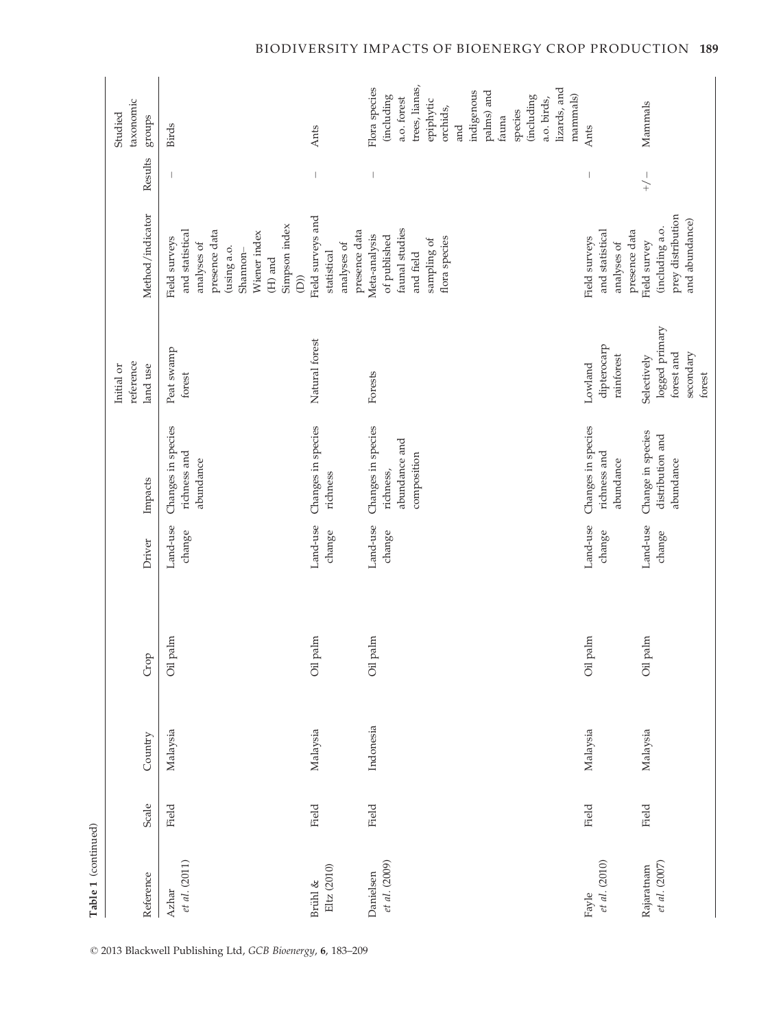| Table 1 (continued)                      |       |           |                        |                    |                                                 |                              |                                                                                                                                           |                                           |                             |
|------------------------------------------|-------|-----------|------------------------|--------------------|-------------------------------------------------|------------------------------|-------------------------------------------------------------------------------------------------------------------------------------------|-------------------------------------------|-----------------------------|
|                                          |       |           |                        |                    |                                                 | reference<br>Initial or      |                                                                                                                                           |                                           | taxonomic<br>Studied        |
| Reference                                | Scale | Country   | Crop                   | Driver             | Impacts                                         | land use                     | Method/indicator                                                                                                                          | Results                                   | groups                      |
| $et$ $al.$ $\left( 2011\right)$<br>Azhar | Field | Malaysia  | palm<br>$\ddot{\rm o}$ | Land-use<br>change | Changes in species<br>richness and<br>abundance | Peat swamp<br>forest         | Simpson index<br>and statistical<br>presence data<br>Wiener index<br>Field surveys<br>analyses of<br>(using a.o.<br>Shannon-<br>$(H)$ and | J                                         | <b>Birds</b>                |
| $E$ I $tz$ (2010)<br>Brühl &             | Field | Malaysia  | palm<br>öi             | Land-use<br>change | Changes in species<br>richness                  | Natural forest               | Field surveys and<br>presence data<br>analyses of<br>statistical<br>$\widehat{\text{D}})$                                                 | $\ $                                      | Ants                        |
|                                          |       |           |                        |                    |                                                 |                              |                                                                                                                                           |                                           |                             |
| et al. (2009)<br>Danielsen               | Field | Indonesia | palm<br>öÏ             | Land-use<br>change | Changes in species<br>richness,                 | Forests                      | Meta-analysis<br>of published                                                                                                             |                                           | Flora species<br>(including |
|                                          |       |           |                        |                    | abundance and                                   |                              | faunal studies                                                                                                                            |                                           | a.o. forest                 |
|                                          |       |           |                        |                    | composition                                     |                              | and field                                                                                                                                 |                                           | trees, lianas,              |
|                                          |       |           |                        |                    |                                                 |                              | sampling of                                                                                                                               |                                           | epiphytic                   |
|                                          |       |           |                        |                    |                                                 |                              | flora species                                                                                                                             |                                           | orchids,                    |
|                                          |       |           |                        |                    |                                                 |                              |                                                                                                                                           |                                           | and                         |
|                                          |       |           |                        |                    |                                                 |                              |                                                                                                                                           |                                           | indigenous                  |
|                                          |       |           |                        |                    |                                                 |                              |                                                                                                                                           |                                           | palms) and                  |
|                                          |       |           |                        |                    |                                                 |                              |                                                                                                                                           |                                           | fauna                       |
|                                          |       |           |                        |                    |                                                 |                              |                                                                                                                                           |                                           | species                     |
|                                          |       |           |                        |                    |                                                 |                              |                                                                                                                                           |                                           | (including                  |
|                                          |       |           |                        |                    |                                                 |                              |                                                                                                                                           |                                           | a.o. birds,                 |
|                                          |       |           |                        |                    |                                                 |                              |                                                                                                                                           |                                           | lizards, and                |
|                                          |       |           |                        |                    |                                                 |                              |                                                                                                                                           |                                           | mammals)                    |
| $et\ al.\ (2010)$<br>Fayle               | Field | Malaysia  | palm<br>öi             | Land-use<br>change | Changes in species<br>richness and              | dipterocarp<br>Lowland       | and statistical<br>Field surveys                                                                                                          | $\begin{array}{c} \end{array}$            | Ants                        |
|                                          |       |           |                        |                    | abundance                                       | rainforest                   | analyses of                                                                                                                               |                                           |                             |
|                                          |       |           |                        |                    |                                                 |                              | presence data                                                                                                                             |                                           |                             |
| Rajaratnam                               | Field | Malaysia  | palm<br>öl             | Land-use           | Change in species                               | Selectively                  | Field survey                                                                                                                              | $\begin{array}{c} \perp \\ + \end{array}$ | Mammals                     |
| et al. (2007)                            |       |           |                        | change             | distribution and<br>abundance                   | logged primary<br>forest and | prey distribution<br>(including a.o.                                                                                                      |                                           |                             |
|                                          |       |           |                        |                    |                                                 | secondary                    | and abundance)                                                                                                                            |                                           |                             |
|                                          |       |           |                        |                    |                                                 | forest                       |                                                                                                                                           |                                           |                             |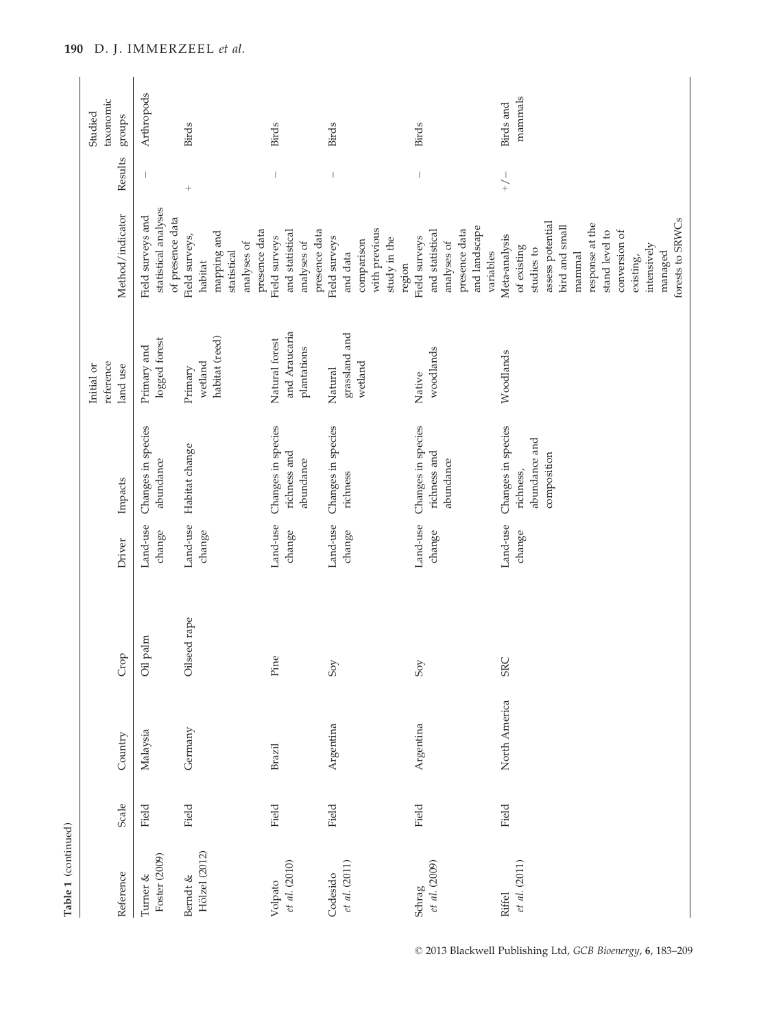| Table 1 (continued)         |       |               |              |                    |                                                                 |                                                |                                                                                                                                                                                                                                                       |                          |                             |
|-----------------------------|-------|---------------|--------------|--------------------|-----------------------------------------------------------------|------------------------------------------------|-------------------------------------------------------------------------------------------------------------------------------------------------------------------------------------------------------------------------------------------------------|--------------------------|-----------------------------|
|                             |       |               |              |                    |                                                                 | Initial or                                     |                                                                                                                                                                                                                                                       |                          | Studied                     |
|                             |       |               |              |                    |                                                                 | reference                                      |                                                                                                                                                                                                                                                       |                          | taxonomic                   |
| Reference                   | Scale | Country       | Crop         | Driver             | Impacts                                                         | land use                                       | Method/indicator                                                                                                                                                                                                                                      | Results                  | groups                      |
| Foster (2009)<br>Turner &   | Field | Malaysia      | palm<br>öil  | Land-use<br>change | Changes in species<br>abundance                                 | logged forest<br>Primary and                   | statistical analyses<br>Field surveys and<br>of presence data                                                                                                                                                                                         | $\overline{\phantom{a}}$ | Arthropods                  |
| Hölzel (2012)<br>Berndt &   | Field | Germany       | Oilseed rape | Land-use<br>change | Habitat change                                                  | habitat (reed)<br>wetland<br>Primary           | presence data<br>mapping and<br>Field surveys,<br>analyses of<br>statistical<br>habitat                                                                                                                                                               | $^{+}$                   | <b>Birds</b>                |
| et al. (2010)<br>Volpato    | Field | Brazil        | Pine         | Land-use<br>change | Changes in species<br>richness and<br>abundance                 | and Araucaria<br>Natural forest<br>plantations | and statistical<br>presence data<br>Field surveys<br>analyses of                                                                                                                                                                                      | $\overline{\phantom{a}}$ | <b>Birds</b>                |
| et al. (2011)<br>Codesido   | Field | Argentina     | Soy          | Land-use<br>change | Changes in species<br>richness                                  | grassland and<br>wetland<br>Natural            | with previous<br>Field surveys<br>study in the<br>comparison<br>and data<br>region                                                                                                                                                                    | $\, \vert \,$            | <b>Birds</b>                |
| et al. (2009)<br>Schrag     | Field | Argentina     | Soy          | Land-use<br>change | Changes in species<br>richness and<br>abundance                 | woodlands<br>Native                            | and landscape<br>and statistical<br>presence data<br>Field surveys<br>analyses of<br>variables                                                                                                                                                        | $\mid$                   | <b>Birds</b>                |
| $et\ al.\ (2011)$<br>Riffel | Field | North America | <b>SRC</b>   | Land-use<br>change | Changes in species<br>abundance and<br>composition<br>richness, | Woodlands                                      | forests to SRWCs<br>assess potential<br>response at the<br>bird and small<br>conversion of<br>stand level to<br>Meta-analysis<br>intensively<br>of existing<br>studies to<br>managed<br>mammal<br>$\mathop{\mathrm{existing}}\nolimits_{\mathcal{B}}$ | $-\bigg\} +$             | mammals<br><b>Birds</b> and |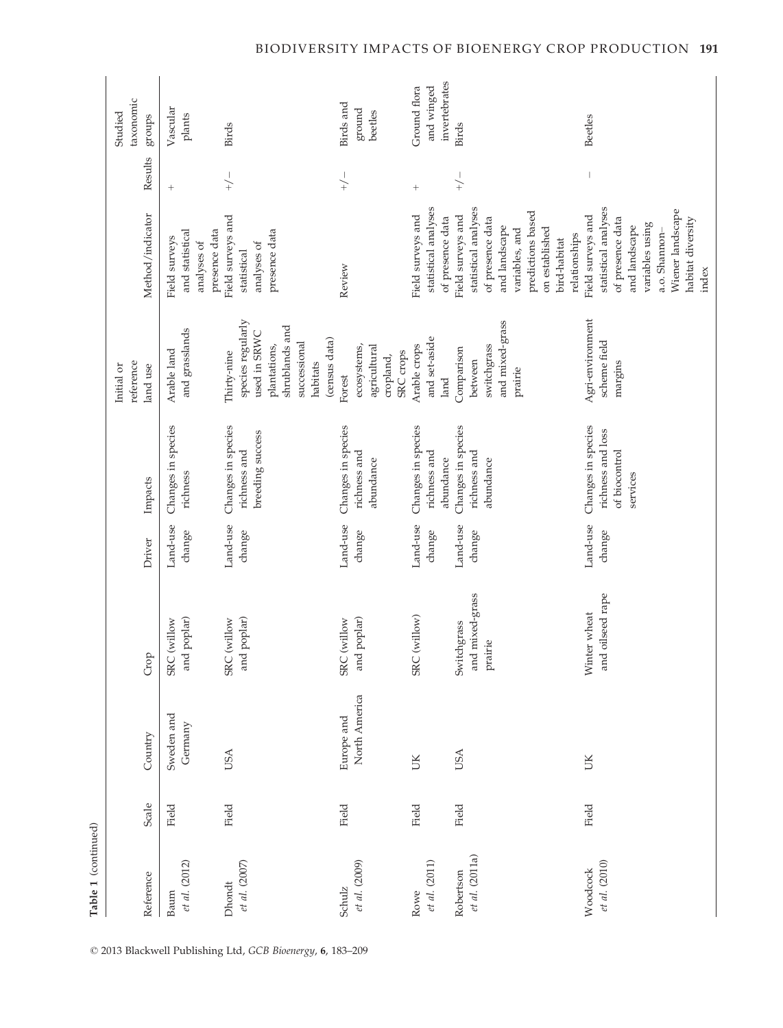| Table 1 (continued)         |       |                             |                                           |                    |                                                                      |                                                                                                                                 |                                                                                                                                                                          |                               |                                             |
|-----------------------------|-------|-----------------------------|-------------------------------------------|--------------------|----------------------------------------------------------------------|---------------------------------------------------------------------------------------------------------------------------------|--------------------------------------------------------------------------------------------------------------------------------------------------------------------------|-------------------------------|---------------------------------------------|
|                             |       |                             |                                           |                    |                                                                      | reference<br>Initial or                                                                                                         |                                                                                                                                                                          |                               | taxonomic<br>Studied                        |
| Reference                   | Scale | Country                     | Crop                                      | Driver             | Impacts                                                              | land use                                                                                                                        | Method/indicator                                                                                                                                                         | Results                       | groups                                      |
| et al. (2012)<br>Baum       | Field | Sweden and<br>Germany       | and poplar)<br>SRC (willow                | Land-use<br>change | Changes in species<br>richness                                       | and grasslands<br>Arable land                                                                                                   | and statistical<br>presence data<br>Field surveys<br>analyses of                                                                                                         | $^{+}$                        | Vascular<br>plants                          |
| $et\ al.\ (2007)$<br>Dhondt | Field | USA                         | and poplar)<br>SRC (willow                | Land-use<br>change | Changes in species<br>breeding success<br>richness and               | species regularly<br>shrublands and<br>used in SRWC<br>(census data)<br>successional<br>plantations,<br>Thirty-nine<br>habitats | Field surveys and<br>presence data<br>analyses of<br>statistical                                                                                                         | $\mathbf{I}$<br>$\frac{1}{x}$ | <b>Birds</b>                                |
| et al. (2009)<br>Schulz     | Field | North America<br>Europe and | and poplar)<br>SRC (willow                | Land-use<br>change | Changes in species<br>richness and<br>abundance                      | agricultural<br>ecosystems,<br>SRC crops<br>cropland,<br>Forest                                                                 | Review                                                                                                                                                                   | $-\bigg\} +$                  | Birds and<br>ground<br>beetles              |
| et al. (2011)<br>Rowe       | Field | UK                          | SRC (willow)                              | Land-use<br>change | Changes in species<br>richness and<br>abundance                      | and set-aside<br>Arable crops<br>land                                                                                           | statistical analyses<br>Field surveys and<br>of presence data                                                                                                            | $^{+}$                        | invertebrates<br>Ground flora<br>and winged |
| et al. (2011a)<br>Robertson | Field | USA                         | and mixed-grass<br>Switchgrass<br>prairie | Land-use<br>change | Changes in species<br>richness and<br>abundance                      | and mixed-grass<br>switchgrass<br>Comparison<br>between<br>prairie                                                              | statistical analyses<br>predictions based<br>Field surveys and<br>of presence data<br>and landscape<br>on established<br>variables, and<br>relationships<br>bird-habitat | $-\bigg\}$                    | <b>Birds</b>                                |
| et al. (2010)<br>Woodcock   | Field | UK                          | and oilseed rape<br>Winter wheat          | Land-use<br>change | Changes in species<br>richness and loss<br>of biocontrol<br>services | Agri-environment<br>scheme field<br>margins                                                                                     | statistical analyses<br>Wiener landscape<br>Field surveys and<br>habitat diversity<br>of presence data<br>variables using<br>and landscape<br>a.o. Shannon-<br>index     |                               | <b>Beetles</b>                              |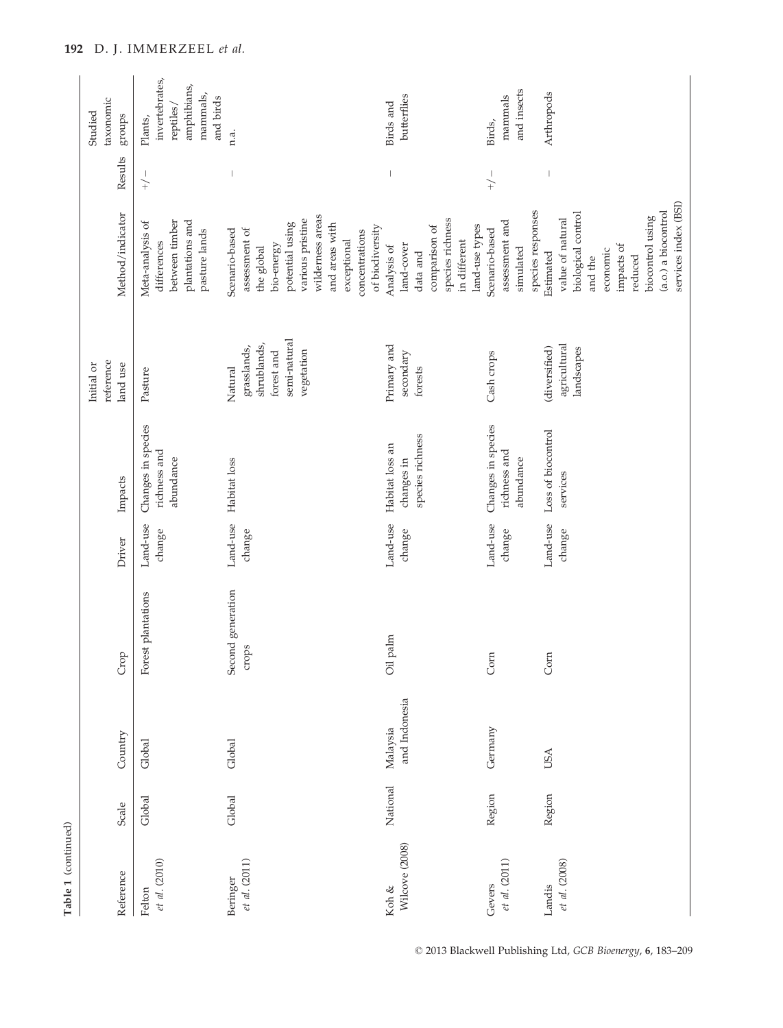|                           |          |                           |                            |                    |                                                   | Initial or                                                                        |                                                                                                                                                                                              |                          | Studied                                                                        |
|---------------------------|----------|---------------------------|----------------------------|--------------------|---------------------------------------------------|-----------------------------------------------------------------------------------|----------------------------------------------------------------------------------------------------------------------------------------------------------------------------------------------|--------------------------|--------------------------------------------------------------------------------|
|                           |          |                           |                            |                    |                                                   | reference                                                                         |                                                                                                                                                                                              |                          | taxonomic                                                                      |
| Reference                 | Scale    | Country                   | Crop                       | Driver             | Impacts                                           | land use                                                                          | Method/indicator                                                                                                                                                                             | Results                  | <i>groups</i>                                                                  |
| et al. (2010)<br>Felton   | Global   | Global                    | Forest plantations         | Land-use<br>change | Changes in species<br>richness and<br>abundance   | Pasture                                                                           | between timber<br>plantations and<br>Meta-analysis of<br>pasture lands<br>differences                                                                                                        | $-\bigg\}$               | invertebrates,<br>amphibians,<br>mammals,<br>and birds<br>reptiles/<br>Plants, |
| et al. (2011)<br>Beringer | Global   | Global                    | Second generation<br>crops | Land-use<br>change | Habitat loss                                      | semi-natural<br>shrublands,<br>grasslands,<br>vegetation<br>forest and<br>Natural | wilderness areas<br>various pristine<br>potential using<br>and areas with<br>of biodiversity<br>assessment of<br>Scenario-based<br>concentrations<br>exceptional<br>bio-energy<br>the global | $\overline{\phantom{a}}$ | n.a.                                                                           |
| Wilcove (2008)<br>Koh &   | National | and Indonesia<br>Malaysia | palm<br>öï                 | Land-use<br>change | species richness<br>Habitat loss an<br>changes in | Primary and<br>secondary<br>forests                                               | species richness<br>land-use types<br>comparison of<br>in different<br>land-cover<br>Analysis of<br>data and                                                                                 | $\overline{\phantom{a}}$ | butterflies<br><b>Birds</b> and                                                |
| $et~al.~(2011)$<br>Gevers | Region   | Germany                   | Corn                       | Land-use<br>change | Changes in species<br>richness and<br>abundance   | Cash crops                                                                        | species responses<br>assessment and<br>Scenario-based<br>simulated                                                                                                                           | $-\bigg\} +$             | and insects<br>mammals<br>Birds,                                               |
| et al. (2008)<br>Landis   | Region   | USA                       | Corn                       | Land-use<br>change | Loss of biocontrol<br>services                    | agricultural<br>(diversified)<br>landscapes                                       | services index (BSI)<br>(a.o.) a biocontrol<br>biological control<br>biocontrol using<br>value of natural<br>impacts of<br>economic<br>Estimated<br>reduced<br>and the                       | $\overline{\phantom{a}}$ | Arthropods                                                                     |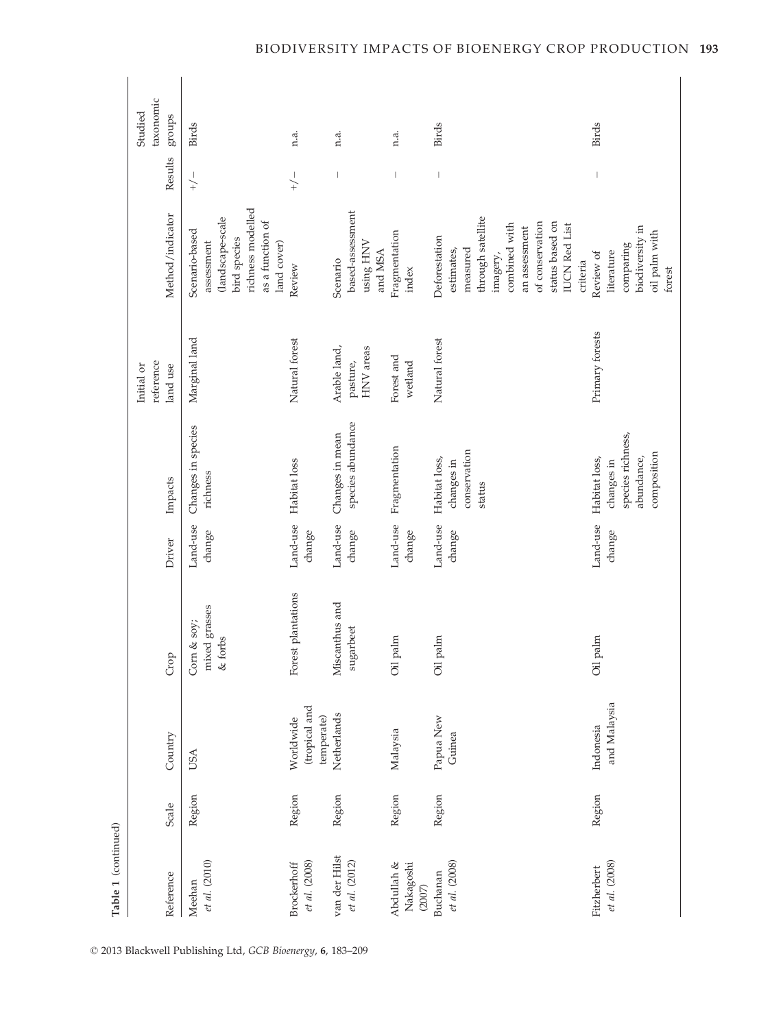| Table 1 (continued)                 |        |                                          |                                         |                    |                                                                               |                                       |                                                                                                                                                                                      |                          |                      |
|-------------------------------------|--------|------------------------------------------|-----------------------------------------|--------------------|-------------------------------------------------------------------------------|---------------------------------------|--------------------------------------------------------------------------------------------------------------------------------------------------------------------------------------|--------------------------|----------------------|
|                                     |        |                                          |                                         |                    |                                                                               | reference<br>Initial or               |                                                                                                                                                                                      |                          | taxonomic<br>Studied |
| Reference                           | Scale  | Country                                  | Crop                                    | Driver             | Impacts                                                                       | land use                              | Method/indicator                                                                                                                                                                     | Results                  | groups               |
| $et\ al.\ (2010)$<br>Meehan         | Region | USA                                      | mixed grasses<br>Corn & soy;<br>& forbs | Land-use<br>change | Changes in species<br>richness                                                | Marginal land                         | richness modelled<br>(landscape-scale<br>as a function of<br>Scenario-based<br>bird species<br>assessment<br>land cover)                                                             | $-\bigg\{ +$             | <b>Birds</b>         |
| et al. (2008)<br><b>Brockerhoff</b> | Region | (tropical and<br>Worldwide<br>temperate) | Forest plantations                      | Land-use<br>change | Habitat loss                                                                  | Natural forest                        | Review                                                                                                                                                                               | $-\bigg\} +$             | n.a.                 |
| van der Hilst<br>et al. (2012)      | Region | Netherlands                              | Miscanthus and<br>sugarbeet             | Land-use<br>change | species abundance<br>Changes in mean                                          | Arable land,<br>HNV areas<br>pasture, | based-assessment<br>using HNV<br>and MSA<br>Scenario                                                                                                                                 |                          | n.a.                 |
| Abdullah &<br>Nakagoshi<br>(2007)   | Region | Malaysia                                 | palm<br>$\overline{5}$                  | Land-use<br>change | Fragmentation                                                                 | Forest and<br>wetland                 | Fragmentation<br>index                                                                                                                                                               | $\overline{\phantom{a}}$ | n.a.                 |
| et al. (2008)<br>Buchanan           | Region | Papua New<br>Guinea                      | Oil palm                                | Land-use<br>change | conservation<br>Habitat loss,<br>changes in<br>status                         | Natural forest                        | through satellite<br>status based on<br>of conservation<br>combined with<br><b>IUCN</b> Red List<br>an assessment<br>Deforestation<br>estimates,<br>measured<br>imagery,<br>criteria | $\, \vert \,$            | <b>Birds</b>         |
| et al. (2008)<br>Fitzherbert        | Region | and Malaysia<br>Indonesia                | palm<br>öi                              | Land-use<br>change | species richness,<br>composition<br>Habitat loss,<br>abundance,<br>changes in | Primary forests                       | biodiversity in<br>oil palm with<br>comparing<br>literature<br>Review of<br>forest                                                                                                   | $\mid$                   | <b>Birds</b>         |

© 2013 Blackwell Publishing Ltd, GCB Bioenergy, 6, 183–209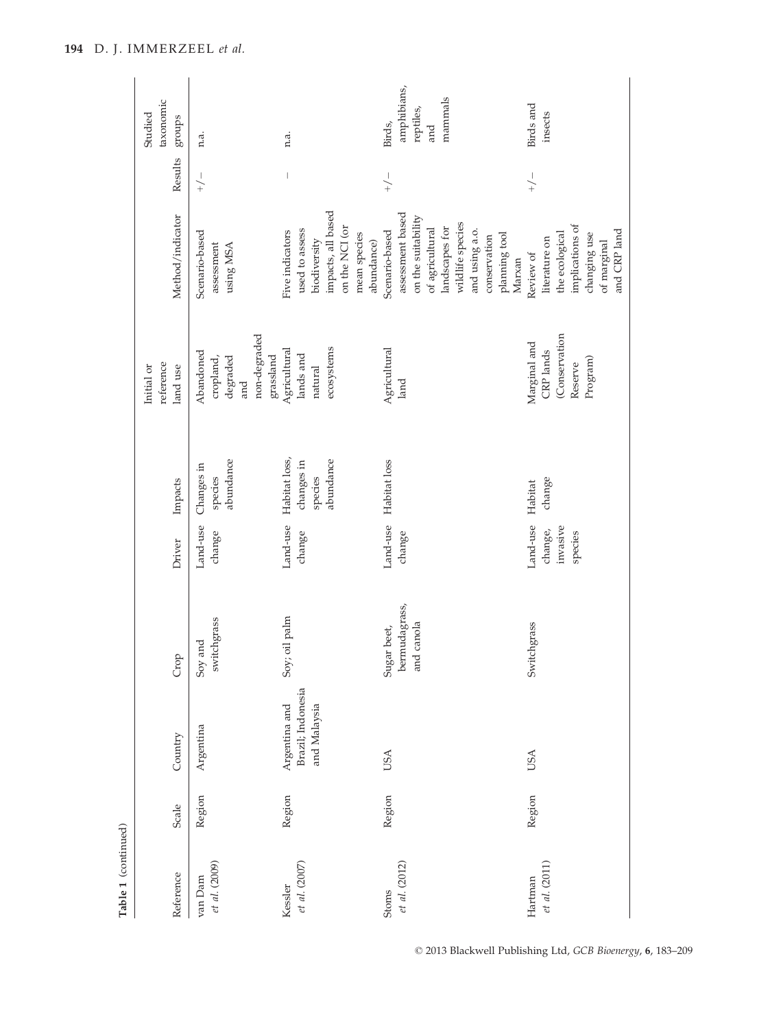| Reference                    | Scale  | Country                                            | Crop                                       | Driver                                     | Impacts                                             | reference<br>Initial or<br>land use                               | Method/indicator                                                                                                                                                               | Results                  | taxonomic<br>Studied<br>groups                       |
|------------------------------|--------|----------------------------------------------------|--------------------------------------------|--------------------------------------------|-----------------------------------------------------|-------------------------------------------------------------------|--------------------------------------------------------------------------------------------------------------------------------------------------------------------------------|--------------------------|------------------------------------------------------|
| et al. (2009)<br>van Dam     | Region | Argentina                                          | switchgrass<br>Soy and                     | Land-use<br>change                         | abundance<br>Changes in<br>species                  | non-degraded<br>Abandoned<br>degraded<br>cropland,<br>and         | Scenario-based<br>assessment<br>using MSA                                                                                                                                      | $-\bigg\{ +$             | n.a.                                                 |
| $et\ al.\ (2007)$<br>Kessler | Region | Brazil; Indonesia<br>Argentina and<br>and Malaysia | Soy; oil palm                              | Land-use<br>change                         | Habitat loss,<br>abundance<br>changes in<br>species | ecosystems<br>Agricultural<br>lands and<br>grassland<br>natural   | impacts, all based<br>on the NCI (or<br>used to assess<br>Five indicators<br>mean species<br>biodiversity<br>abundance)                                                        | $\overline{\phantom{a}}$ | n.a.                                                 |
| $et\ al.\ (2012)$<br>Stoms   | Region | USA                                                | bermudagrass,<br>and canola<br>Sugar beet, | Land-use<br>change                         | Habitat loss                                        | Agricultural<br>land                                              | assessment based<br>on the suitability<br>wildlife species<br>landscapes for<br>of agricultural<br>and using a.o.<br>Scenario-based<br>planning tool<br>conservation<br>Marxan | $-\bigg\{ +$             | amphibians,<br>mammals<br>reptiles,<br>Birds,<br>and |
| et al. (2011)<br>Hartman     | Region | USA                                                | Switchgrass                                | Land-use<br>invasive<br>change,<br>species | change<br>Habitat                                   | (Conservation<br>Marginal and<br>CRP lands<br>Program)<br>Reserve | implications of<br>and CRP land<br>the ecological<br>changing use<br>literature on<br>of marginal<br>Review of                                                                 | $-\bigg\} +$             | <b>Birds</b> and<br>insects                          |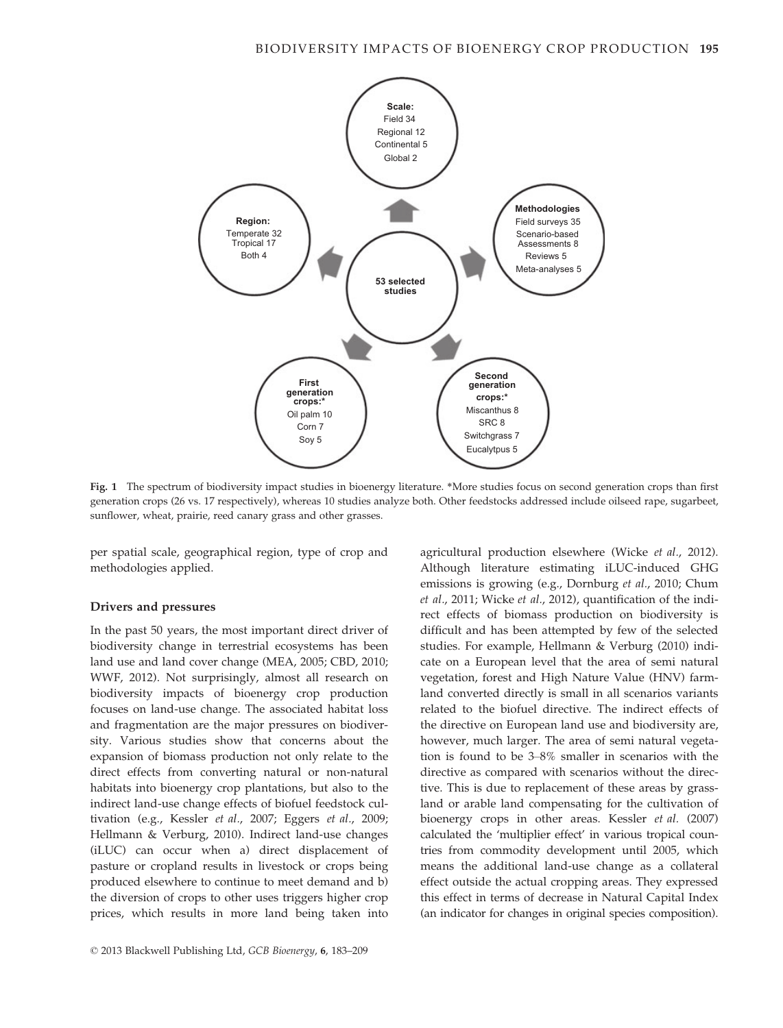

Fig. 1 The spectrum of biodiversity impact studies in bioenergy literature. \*More studies focus on second generation crops than first generation crops (26 vs. 17 respectively), whereas 10 studies analyze both. Other feedstocks addressed include oilseed rape, sugarbeet, sunflower, wheat, prairie, reed canary grass and other grasses.

per spatial scale, geographical region, type of crop and methodologies applied.

## Drivers and pressures

In the past 50 years, the most important direct driver of biodiversity change in terrestrial ecosystems has been land use and land cover change (MEA, 2005; CBD, 2010; WWF, 2012). Not surprisingly, almost all research on biodiversity impacts of bioenergy crop production focuses on land-use change. The associated habitat loss and fragmentation are the major pressures on biodiversity. Various studies show that concerns about the expansion of biomass production not only relate to the direct effects from converting natural or non-natural habitats into bioenergy crop plantations, but also to the indirect land-use change effects of biofuel feedstock cultivation (e.g., Kessler et al., 2007; Eggers et al., 2009; Hellmann & Verburg, 2010). Indirect land-use changes (iLUC) can occur when a) direct displacement of pasture or cropland results in livestock or crops being produced elsewhere to continue to meet demand and b) the diversion of crops to other uses triggers higher crop prices, which results in more land being taken into agricultural production elsewhere (Wicke et al., 2012). Although literature estimating iLUC-induced GHG emissions is growing (e.g., Dornburg et al., 2010; Chum et al., 2011; Wicke et al., 2012), quantification of the indirect effects of biomass production on biodiversity is difficult and has been attempted by few of the selected studies. For example, Hellmann & Verburg (2010) indicate on a European level that the area of semi natural vegetation, forest and High Nature Value (HNV) farmland converted directly is small in all scenarios variants related to the biofuel directive. The indirect effects of the directive on European land use and biodiversity are, however, much larger. The area of semi natural vegetation is found to be 3–8% smaller in scenarios with the directive as compared with scenarios without the directive. This is due to replacement of these areas by grassland or arable land compensating for the cultivation of bioenergy crops in other areas. Kessler et al. (2007) calculated the 'multiplier effect' in various tropical countries from commodity development until 2005, which means the additional land-use change as a collateral effect outside the actual cropping areas. They expressed this effect in terms of decrease in Natural Capital Index (an indicator for changes in original species composition).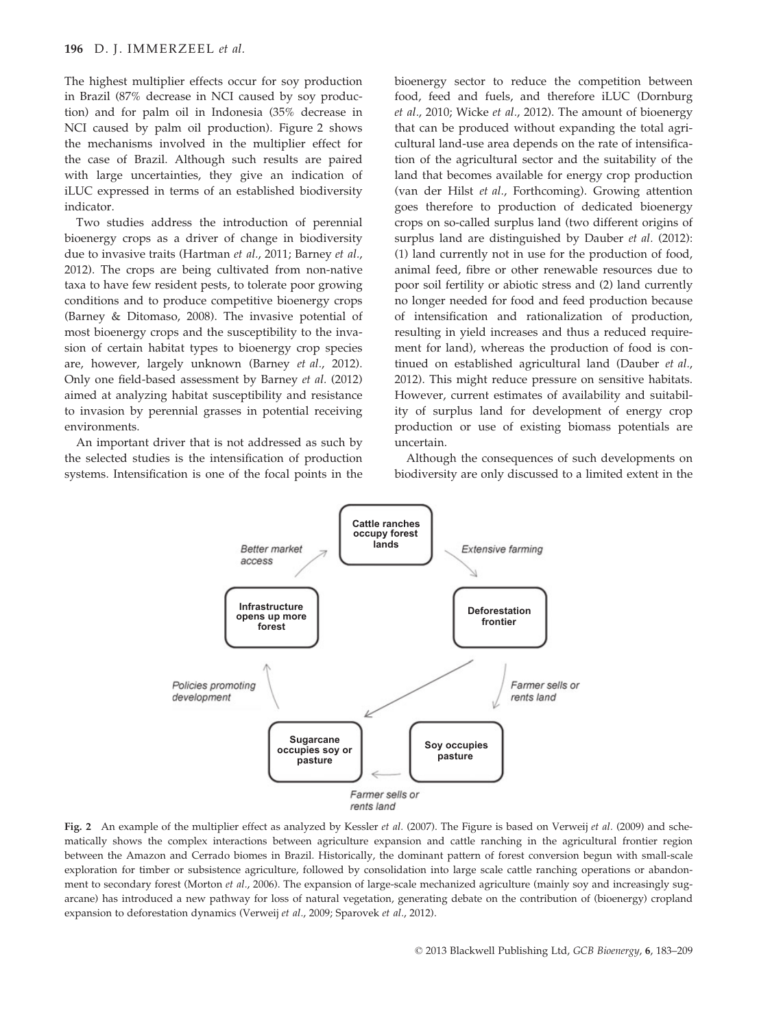The highest multiplier effects occur for soy production in Brazil (87% decrease in NCI caused by soy production) and for palm oil in Indonesia (35% decrease in NCI caused by palm oil production). Figure 2 shows the mechanisms involved in the multiplier effect for the case of Brazil. Although such results are paired with large uncertainties, they give an indication of iLUC expressed in terms of an established biodiversity indicator.

Two studies address the introduction of perennial bioenergy crops as a driver of change in biodiversity due to invasive traits (Hartman et al., 2011; Barney et al., 2012). The crops are being cultivated from non-native taxa to have few resident pests, to tolerate poor growing conditions and to produce competitive bioenergy crops (Barney & Ditomaso, 2008). The invasive potential of most bioenergy crops and the susceptibility to the invasion of certain habitat types to bioenergy crop species are, however, largely unknown (Barney et al., 2012). Only one field-based assessment by Barney et al. (2012) aimed at analyzing habitat susceptibility and resistance to invasion by perennial grasses in potential receiving environments.

An important driver that is not addressed as such by the selected studies is the intensification of production systems. Intensification is one of the focal points in the bioenergy sector to reduce the competition between food, feed and fuels, and therefore iLUC (Dornburg et al., 2010; Wicke et al., 2012). The amount of bioenergy that can be produced without expanding the total agricultural land-use area depends on the rate of intensification of the agricultural sector and the suitability of the land that becomes available for energy crop production (van der Hilst et al., Forthcoming). Growing attention goes therefore to production of dedicated bioenergy crops on so-called surplus land (two different origins of surplus land are distinguished by Dauber et al. (2012): (1) land currently not in use for the production of food, animal feed, fibre or other renewable resources due to poor soil fertility or abiotic stress and (2) land currently no longer needed for food and feed production because of intensification and rationalization of production, resulting in yield increases and thus a reduced requirement for land), whereas the production of food is continued on established agricultural land (Dauber et al., 2012). This might reduce pressure on sensitive habitats. However, current estimates of availability and suitability of surplus land for development of energy crop production or use of existing biomass potentials are uncertain.

Although the consequences of such developments on biodiversity are only discussed to a limited extent in the



Fig. 2 An example of the multiplier effect as analyzed by Kessler et al. (2007). The Figure is based on Verweij et al. (2009) and schematically shows the complex interactions between agriculture expansion and cattle ranching in the agricultural frontier region between the Amazon and Cerrado biomes in Brazil. Historically, the dominant pattern of forest conversion begun with small-scale exploration for timber or subsistence agriculture, followed by consolidation into large scale cattle ranching operations or abandonment to secondary forest (Morton *et al.*, 2006). The expansion of large-scale mechanized agriculture (mainly soy and increasingly sugarcane) has introduced a new pathway for loss of natural vegetation, generating debate on the contribution of (bioenergy) cropland expansion to deforestation dynamics (Verweij et al., 2009; Sparovek et al., 2012).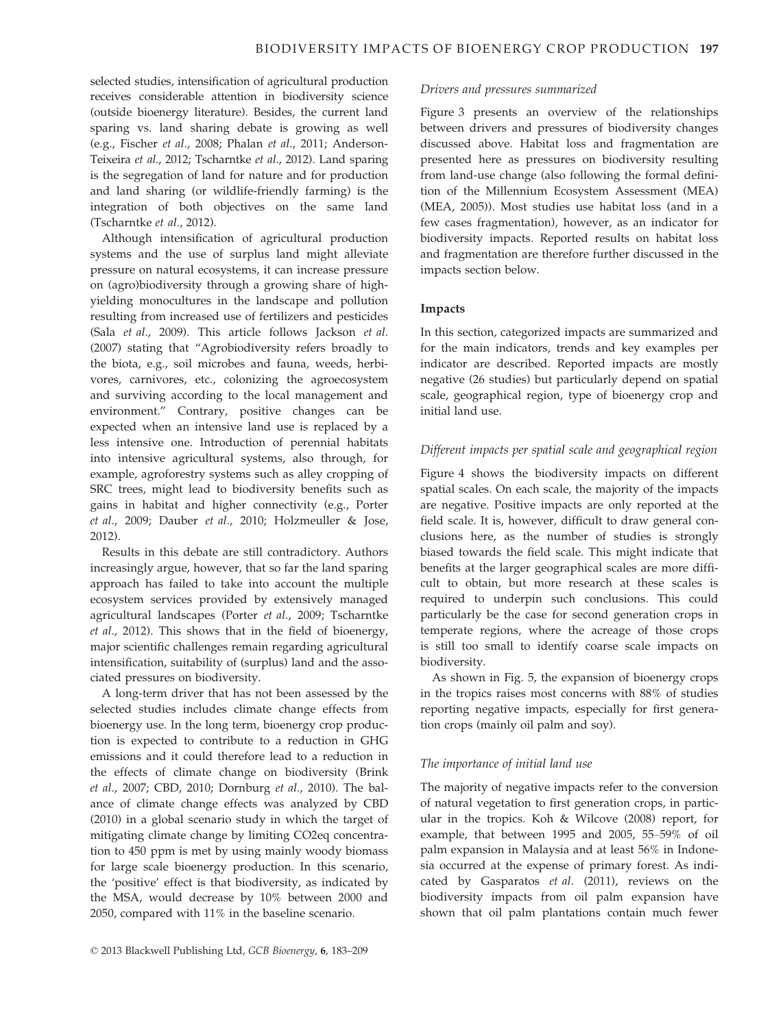selected studies, intensification of agricultural production receives considerable attention in biodiversity science (outside bioenergy literature). Besides, the current land sparing vs. land sharing debate is growing as well (e.g., Fischer et al., 2008; Phalan et al., 2011; Anderson-Teixeira et al., 2012; Tscharntke et al., 2012). Land sparing is the segregation of land for nature and for production and land sharing (or wildlife-friendly farming) is the integration of both objectives on the same land (Tscharntke et al., 2012).

Although intensification of agricultural production systems and the use of surplus land might alleviate pressure on natural ecosystems, it can increase pressure on (agro)biodiversity through a growing share of highyielding monocultures in the landscape and pollution resulting from increased use of fertilizers and pesticides (Sala et al., 2009). This article follows Jackson et al. (2007) stating that "Agrobiodiversity refers broadly to the biota, e.g., soil microbes and fauna, weeds, herbivores, carnivores, etc., colonizing the agroecosystem and surviving according to the local management and environment." Contrary, positive changes can be expected when an intensive land use is replaced by a less intensive one. Introduction of perennial habitats into intensive agricultural systems, also through, for example, agroforestry systems such as alley cropping of SRC trees, might lead to biodiversity benefits such as gains in habitat and higher connectivity (e.g., Porter et al., 2009; Dauber et al., 2010; Holzmeuller & Jose, 2012).

Results in this debate are still contradictory. Authors increasingly argue, however, that so far the land sparing approach has failed to take into account the multiple ecosystem services provided by extensively managed agricultural landscapes (Porter et al., 2009; Tscharntke et al., 2012). This shows that in the field of bioenergy, major scientific challenges remain regarding agricultural intensification, suitability of (surplus) land and the associated pressures on biodiversity.

A long-term driver that has not been assessed by the selected studies includes climate change effects from bioenergy use. In the long term, bioenergy crop production is expected to contribute to a reduction in GHG emissions and it could therefore lead to a reduction in the effects of climate change on biodiversity (Brink et al., 2007; CBD, 2010; Dornburg et al., 2010). The balance of climate change effects was analyzed by CBD (2010) in a global scenario study in which the target of mitigating climate change by limiting CO2eq concentration to 450 ppm is met by using mainly woody biomass for large scale bioenergy production. In this scenario, the 'positive' effect is that biodiversity, as indicated by the MSA, would decrease by 10% between 2000 and 2050, compared with 11% in the baseline scenario.

#### Drivers and pressures summarized

Figure 3 presents an overview of the relationships between drivers and pressures of biodiversity changes discussed above. Habitat loss and fragmentation are presented here as pressures on biodiversity resulting from land-use change (also following the formal definition of the Millennium Ecosystem Assessment (MEA) (MEA, 2005)). Most studies use habitat loss (and in a few cases fragmentation), however, as an indicator for biodiversity impacts. Reported results on habitat loss and fragmentation are therefore further discussed in the impacts section below.

## Impacts

In this section, categorized impacts are summarized and for the main indicators, trends and key examples per indicator are described. Reported impacts are mostly negative (26 studies) but particularly depend on spatial scale, geographical region, type of bioenergy crop and initial land use.

## Different impacts per spatial scale and geographical region

Figure 4 shows the biodiversity impacts on different spatial scales. On each scale, the majority of the impacts are negative. Positive impacts are only reported at the field scale. It is, however, difficult to draw general conclusions here, as the number of studies is strongly biased towards the field scale. This might indicate that benefits at the larger geographical scales are more difficult to obtain, but more research at these scales is required to underpin such conclusions. This could particularly be the case for second generation crops in temperate regions, where the acreage of those crops is still too small to identify coarse scale impacts on biodiversity.

As shown in Fig. 5, the expansion of bioenergy crops in the tropics raises most concerns with 88% of studies reporting negative impacts, especially for first generation crops (mainly oil palm and soy).

## The importance of initial land use

The majority of negative impacts refer to the conversion of natural vegetation to first generation crops, in particular in the tropics. Koh & Wilcove (2008) report, for example, that between 1995 and 2005, 55–59% of oil palm expansion in Malaysia and at least 56% in Indonesia occurred at the expense of primary forest. As indicated by Gasparatos et al. (2011), reviews on the biodiversity impacts from oil palm expansion have shown that oil palm plantations contain much fewer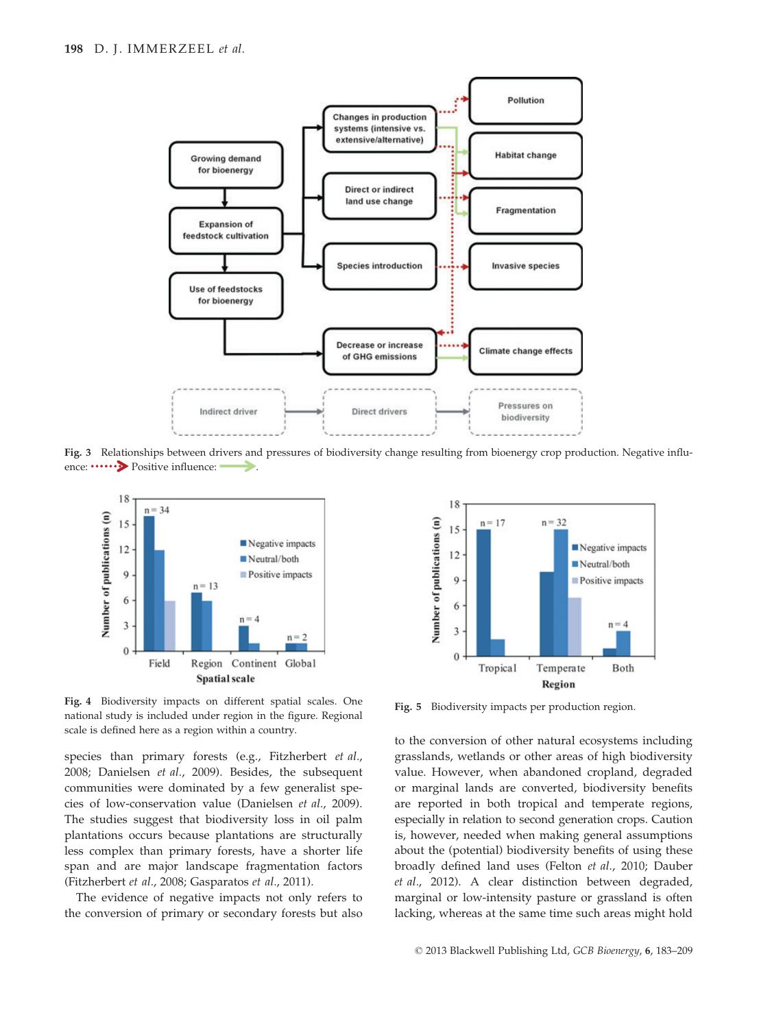

Fig. 3 Relationships between drivers and pressures of biodiversity change resulting from bioenergy crop production. Negative influence:  $\cdots$  Positive influence:



Fig. 4 Biodiversity impacts on different spatial scales. One national study is included under region in the figure. Regional scale is defined here as a region within a country.

species than primary forests (e.g., Fitzherbert et al., 2008; Danielsen et al., 2009). Besides, the subsequent communities were dominated by a few generalist species of low-conservation value (Danielsen et al., 2009). The studies suggest that biodiversity loss in oil palm plantations occurs because plantations are structurally less complex than primary forests, have a shorter life span and are major landscape fragmentation factors (Fitzherbert et al., 2008; Gasparatos et al., 2011).

The evidence of negative impacts not only refers to the conversion of primary or secondary forests but also



Fig. 5 Biodiversity impacts per production region.

to the conversion of other natural ecosystems including grasslands, wetlands or other areas of high biodiversity value. However, when abandoned cropland, degraded or marginal lands are converted, biodiversity benefits are reported in both tropical and temperate regions, especially in relation to second generation crops. Caution is, however, needed when making general assumptions about the (potential) biodiversity benefits of using these broadly defined land uses (Felton et al., 2010; Dauber et al., 2012). A clear distinction between degraded, marginal or low-intensity pasture or grassland is often lacking, whereas at the same time such areas might hold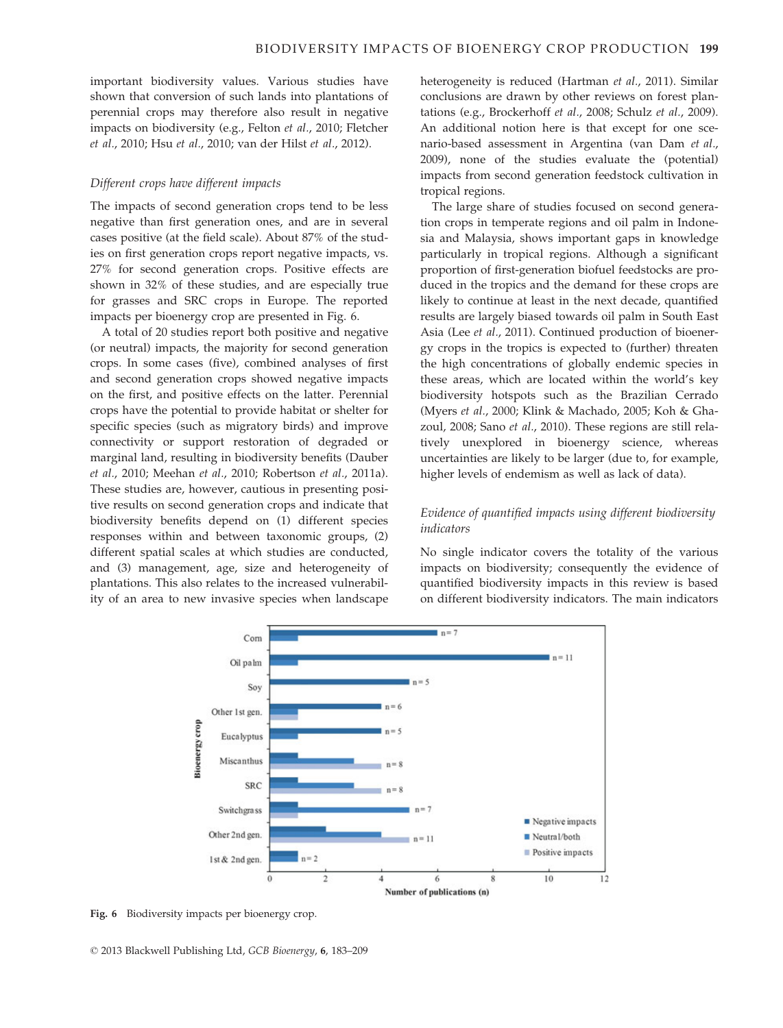important biodiversity values. Various studies have shown that conversion of such lands into plantations of perennial crops may therefore also result in negative impacts on biodiversity (e.g., Felton et al., 2010; Fletcher et al., 2010; Hsu et al., 2010; van der Hilst et al., 2012).

## Different crops have different impacts

The impacts of second generation crops tend to be less negative than first generation ones, and are in several cases positive (at the field scale). About 87% of the studies on first generation crops report negative impacts, vs. 27% for second generation crops. Positive effects are shown in 32% of these studies, and are especially true for grasses and SRC crops in Europe. The reported impacts per bioenergy crop are presented in Fig. 6.

A total of 20 studies report both positive and negative (or neutral) impacts, the majority for second generation crops. In some cases (five), combined analyses of first and second generation crops showed negative impacts on the first, and positive effects on the latter. Perennial crops have the potential to provide habitat or shelter for specific species (such as migratory birds) and improve connectivity or support restoration of degraded or marginal land, resulting in biodiversity benefits (Dauber et al., 2010; Meehan et al., 2010; Robertson et al., 2011a). These studies are, however, cautious in presenting positive results on second generation crops and indicate that biodiversity benefits depend on (1) different species responses within and between taxonomic groups, (2) different spatial scales at which studies are conducted, and (3) management, age, size and heterogeneity of plantations. This also relates to the increased vulnerability of an area to new invasive species when landscape

heterogeneity is reduced (Hartman et al., 2011). Similar conclusions are drawn by other reviews on forest plantations (e.g., Brockerhoff et al., 2008; Schulz et al., 2009). An additional notion here is that except for one scenario-based assessment in Argentina (van Dam et al., 2009), none of the studies evaluate the (potential) impacts from second generation feedstock cultivation in tropical regions.

The large share of studies focused on second generation crops in temperate regions and oil palm in Indonesia and Malaysia, shows important gaps in knowledge particularly in tropical regions. Although a significant proportion of first-generation biofuel feedstocks are produced in the tropics and the demand for these crops are likely to continue at least in the next decade, quantified results are largely biased towards oil palm in South East Asia (Lee et al., 2011). Continued production of bioenergy crops in the tropics is expected to (further) threaten the high concentrations of globally endemic species in these areas, which are located within the world's key biodiversity hotspots such as the Brazilian Cerrado (Myers et al., 2000; Klink & Machado, 2005; Koh & Ghazoul, 2008; Sano et al., 2010). These regions are still relatively unexplored in bioenergy science, whereas uncertainties are likely to be larger (due to, for example, higher levels of endemism as well as lack of data).

# Evidence of quantified impacts using different biodiversity indicators

No single indicator covers the totality of the various impacts on biodiversity; consequently the evidence of quantified biodiversity impacts in this review is based on different biodiversity indicators. The main indicators



Fig. 6 Biodiversity impacts per bioenergy crop.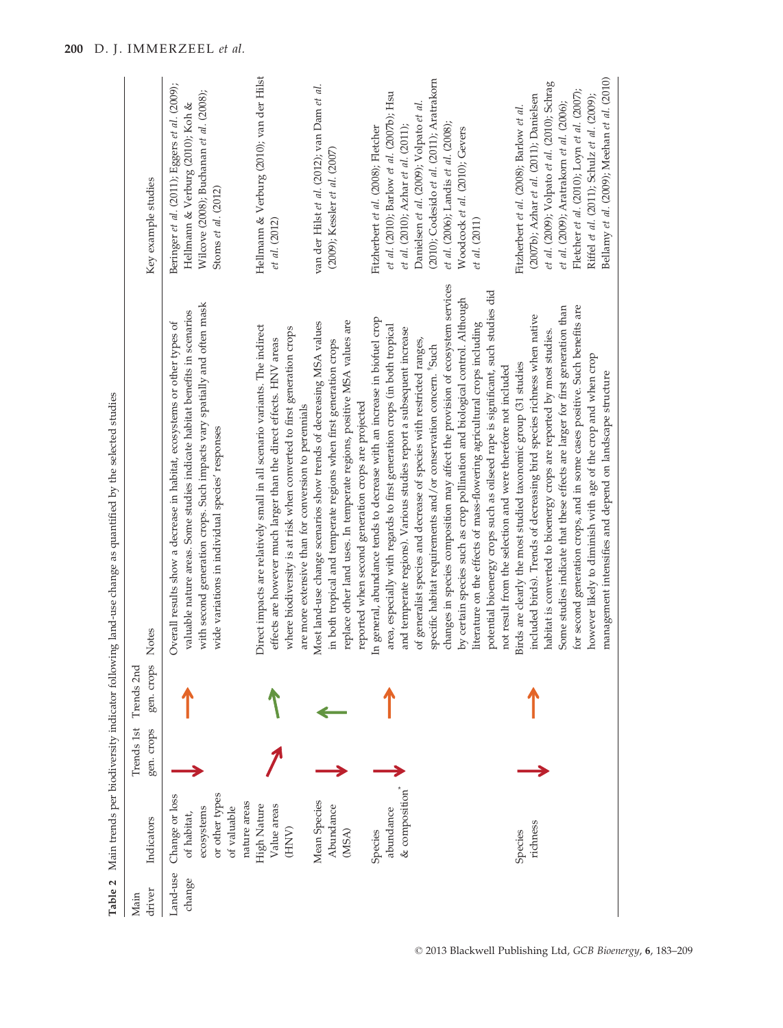| Table 2            |                                                                                              |                          |                          | Main trends per biodiversity indicator following land-use change as quantified by the selected studies                                                                                                                                                                                                                                                                                                                                                                                                                                                                                                                                                                                                     |                                                                                                                                                                                                                                                                                                                              |
|--------------------|----------------------------------------------------------------------------------------------|--------------------------|--------------------------|------------------------------------------------------------------------------------------------------------------------------------------------------------------------------------------------------------------------------------------------------------------------------------------------------------------------------------------------------------------------------------------------------------------------------------------------------------------------------------------------------------------------------------------------------------------------------------------------------------------------------------------------------------------------------------------------------------|------------------------------------------------------------------------------------------------------------------------------------------------------------------------------------------------------------------------------------------------------------------------------------------------------------------------------|
| driver<br>Main     | Indicators                                                                                   | Trends 1st<br>gen. crops | gen. crops<br>Trends 2nd | Notes                                                                                                                                                                                                                                                                                                                                                                                                                                                                                                                                                                                                                                                                                                      | Key example studies                                                                                                                                                                                                                                                                                                          |
| Land-use<br>change | or other types<br>Change or loss<br>nature areas<br>ecosystems<br>of valuable<br>of habitat, |                          |                          | with second generation crops. Such impacts vary spatially and often mask<br>valuable nature areas. Some studies indicate habitat benefits in scenarios<br>Overall results show a decrease in habitat, ecosystems or other types of<br>wide variations in individual species' responses                                                                                                                                                                                                                                                                                                                                                                                                                     | Beringer et al. (2011); Eggers et al. (2009);<br>Wilcove (2008); Buchanan et al. (2008);<br>Hellmann & Verburg (2010); Koh &<br>Stoms et al. (2012)                                                                                                                                                                          |
|                    | Value areas<br>High Nature<br>(HNV)                                                          |                          |                          | Direct impacts are relatively small in all scenario variants. The indirect<br>where biodiversity is at risk when converted to first generation crops<br>effects are however much larger than the direct effects. HNV areas<br>are more extensive than for conversion to perennials                                                                                                                                                                                                                                                                                                                                                                                                                         | Hellmann & Verburg (2010); van der Hilst<br>et al. (2012)                                                                                                                                                                                                                                                                    |
|                    | Mean Species<br>Abundance<br>(MSA)                                                           |                          |                          | replace other land uses. In temperate regions, positive MSA values are<br>Most land-use change scenarios show trends of decreasing MSA values<br>in both tropical and temperate regions when first generation crops<br>reported when second generation crops are projected                                                                                                                                                                                                                                                                                                                                                                                                                                 | van der Hilst et al. (2012); van Dam et al.<br>(2009); Kessler et al. (2007)                                                                                                                                                                                                                                                 |
|                    | & composition<br>abundance<br>Species                                                        |                          |                          | changes in species composition may affect the provision of ecosystem services<br>potential bioenergy crops such as oilseed rape is significant, such studies did<br>by certain species such as crop pollination and biological control. Although<br>In general, abundance tends to decrease with an increase in biofuel crop<br>literature on the effects of mass-flowering agricultural crops including<br>area, especially with regards to first generation crops (in both tropical<br>and temperate regions). Various studies report a subsequent increase<br>of generalist species and decrease of species with restricted ranges,<br>specific habitat requirements and/or conservation concern. "Such | (2010); Codesido et al. (2011); Aratrakorn<br>et al. (2010); Barlow et al. (2007b); Hsu<br>Danielsen et al. (2009); Volpato et al.<br>et al. (2006); Landis et al. (2008);<br>et al. (2010); Azhar et al. (2011);<br>Fitzherbert et al. (2008); Fletcher<br>Woodcock et al. (2010); Gevers<br>et al. (2011)                  |
|                    | richness<br>Species                                                                          |                          |                          | for second generation crops, and in some cases positive. Such benefits are<br>Some studies indicate that these effects are larger for first generation than<br>included birds). Trends of decreasing bird species richness when native<br>habitat is converted to bioenergy crops are reported by most studies.<br>however likely to diminish with age of the crop and when crop<br>Birds are clearly the most studied taxonomic group (31 studies<br>not result from the selection and were therefore not included<br>management intensifies and depend on landscape structure                                                                                                                            | Bellamy et al. (2009); Meehan et al. (2010)<br>et al. (2009); Volpato et al. (2010); Schrag<br>Fletcher et al. (2010); Loyn et al. (2007);<br>(2007b); Azhar et al. (2011); Danielsen<br>Riffel et al. (2011); Schulz et al. (2009);<br>et al. (2009); Aratrakorn et al. (2006);<br>Fitzherbert et al. (2008); Barlow et al. |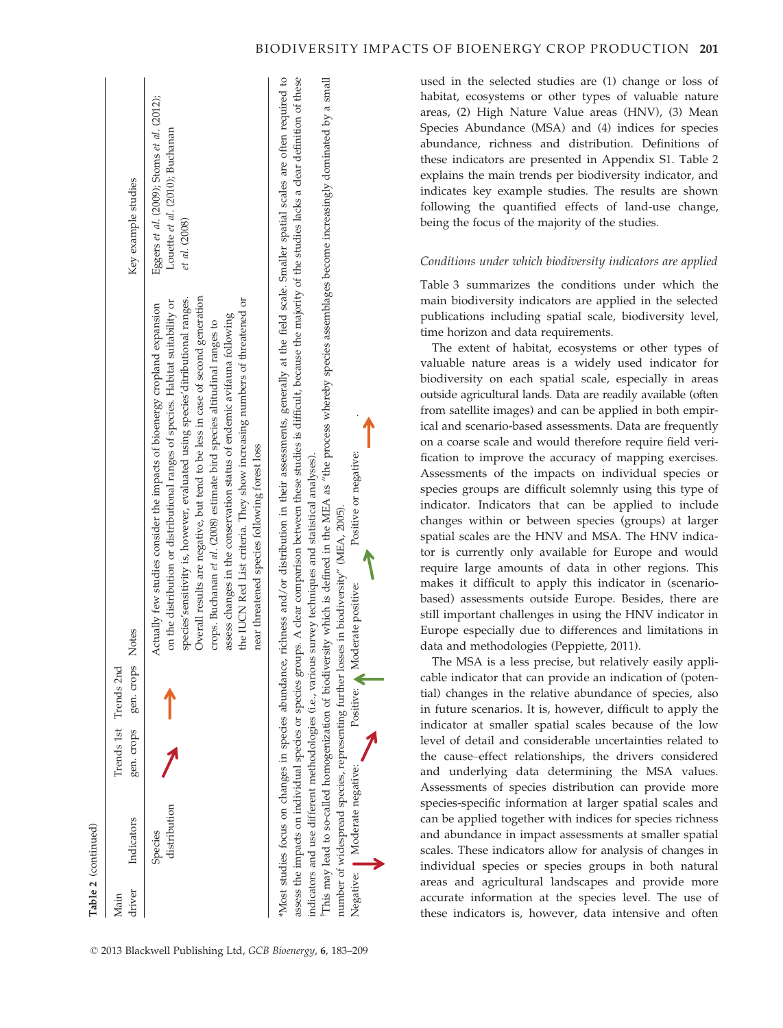| Table 2 (continued) |                                                        |                                                |                                                                                                                                                                                                                                                                                                                                                                                                                                                                                                                                                                                                                          |                                                                                                |
|---------------------|--------------------------------------------------------|------------------------------------------------|--------------------------------------------------------------------------------------------------------------------------------------------------------------------------------------------------------------------------------------------------------------------------------------------------------------------------------------------------------------------------------------------------------------------------------------------------------------------------------------------------------------------------------------------------------------------------------------------------------------------------|------------------------------------------------------------------------------------------------|
| driver<br>Main      | Indicators                                             | gen. crops gen. crops<br>Trends 1st Trends 2nd | Notes                                                                                                                                                                                                                                                                                                                                                                                                                                                                                                                                                                                                                    | Key example studies                                                                            |
|                     | distribution<br>Species                                |                                                | Overall results are negative, but tend to be less in case of second generation<br>species' sensitivity is, however, evaluated using species' ditributional ranges.<br>the IUCN Red List criteria. They show increasing numbers of threatened or<br>on the distribution or distributional ranges of species. Habitat suitability or<br>Actually few studies consider the impacts of bioenergy cropland expansion<br>assess changes in the conservation status of endemic avifauna following<br>crops. Buchanan et al. (2008) estimate bird species altitudinal ranges to<br>near threatened species following forest loss | Eggers et al. (2009); Stoms et al. (2012);<br>Louette et al. (2010); Buchanan<br>et al. (2008) |
|                     |                                                        |                                                | "Most studies focus on changes in species abundance, richness and/or distribution in their assessments, generally at the field scale. Smaller spatial scales are often required to<br>assess the impacts on individual species or species groups. A clear comparison between these studies is difficult, because the majority of the studies lacks a clear definition of these<br>indicators and use different methodologies (i.e., various survey techniques and statistical analyses).                                                                                                                                 |                                                                                                |
|                     | "This may lead to so-called homogenization of biodiver |                                                | sity which is defined in the MEA as "the process whereby species assemblages become increasingly dominated by a small                                                                                                                                                                                                                                                                                                                                                                                                                                                                                                    |                                                                                                |

number of widespread species, representing further losses in biodiversity" (MEA, 2005).

number of widespread species, representing further losses in biodiversity" (MEA, 2005).

Negative: Moderate negative: Positive: Moderate positive: Positive or negative: .

Positive:

Moderate negative:

Negative:

Moderate positive:

Positive or negative:

used in the selected studies are (1) change or loss of habitat, ecosystems or other types of valuable nature areas, (2) High Nature Value areas (HNV), (3) Mean Species Abundance (MSA) and (4) indices for species abundance, richness and distribution. Definitions of these indicators are presented in Appendix S1. Table 2 explains the main trends per biodiversity indicator, and indicates key example studies. The results are shown following the quantified effects of land-use change, being the focus of the majority of the studies.

## Conditions under which biodiversity indicators are applied

Table 3 summarizes the conditions under which the main biodiversity indicators are applied in the selected publications including spatial scale, biodiversity level, time horizon and data requirements.

The extent of habitat, ecosystems or other types of valuable nature areas is a widely used indicator for biodiversity on each spatial scale, especially in areas outside agricultural lands. Data are readily available (often from satellite images) and can be applied in both empirical and scenario-based assessments. Data are frequently on a coarse scale and would therefore require field verification to improve the accuracy of mapping exercises. Assessments of the impacts on individual species or species groups are difficult solemnly using this type of indicator. Indicators that can be applied to include changes within or between species (groups) at larger spatial scales are the HNV and MSA. The HNV indicator is currently only available for Europe and would require large amounts of data in other regions. This makes it difficult to apply this indicator in (scenariobased) assessments outside Europe. Besides, there are still important challenges in using the HNV indicator in Europe especially due to differences and limitations in data and methodologies (Peppiette, 2011).

The MSA is a less precise, but relatively easily applicable indicator that can provide an indication of (potential) changes in the relative abundance of species, also in future scenarios. It is, however, difficult to apply the indicator at smaller spatial scales because of the low level of detail and considerable uncertainties related to the cause–effect relationships, the drivers considered and underlying data determining the MSA values. Assessments of species distribution can provide more species-specific information at larger spatial scales and can be applied together with indices for species richness and abundance in impact assessments at smaller spatial scales. These indicators allow for analysis of changes in individual species or species groups in both natural areas and agricultural landscapes and provide more accurate information at the species level. The use of these indicators is, however, data intensive and often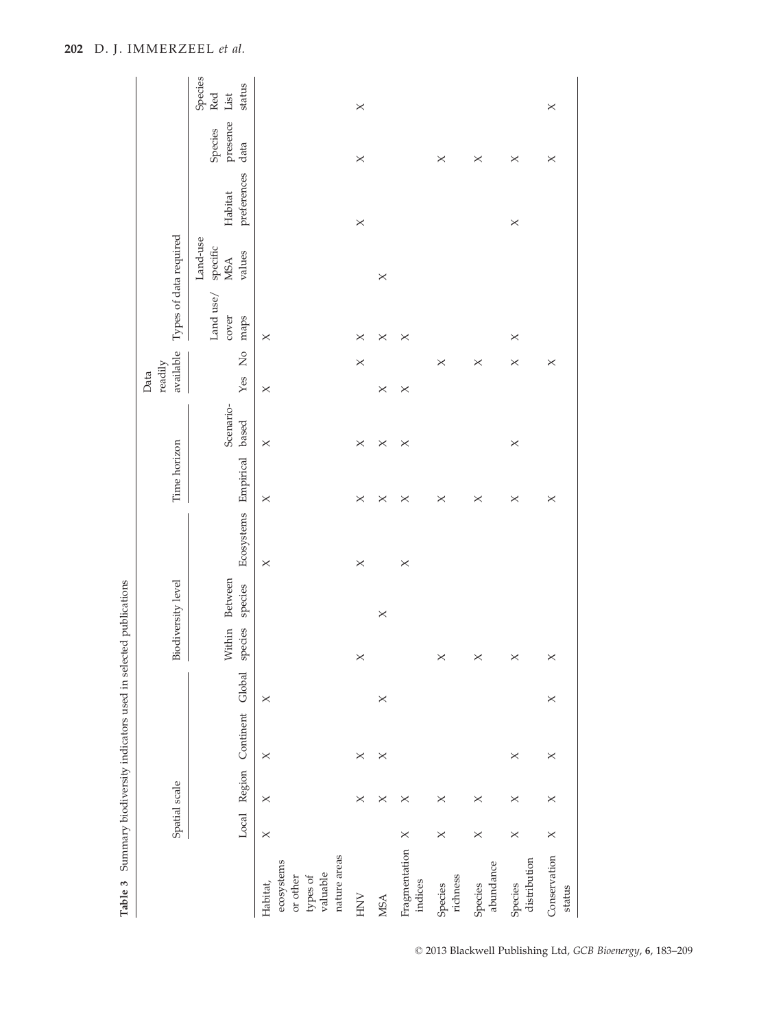|                                                                            | Spatial scale |          |                               |          | <b>Biodiversity level</b> |                    |            | Time horizon |                    | available<br>$_{\rm{readily}}$<br>Data | Types of data required     |                                              |                        |                             |                                  |
|----------------------------------------------------------------------------|---------------|----------|-------------------------------|----------|---------------------------|--------------------|------------|--------------|--------------------|----------------------------------------|----------------------------|----------------------------------------------|------------------------|-----------------------------|----------------------------------|
|                                                                            |               |          | Local Region Continent Global |          | Within<br>species         | Between<br>species | Ecosystems | Empirical    | Scenario-<br>based | $\tilde{z}$<br>Yes                     | Land use/<br>cover<br>maps | Land-use<br>specific<br>values<br><b>NSA</b> | preferences<br>Habitat | presence<br>Species<br>data | Species<br>status<br>Red<br>List |
| nature areas<br>ecosystems<br>valuable<br>types of<br>or other<br>Habitat, | $\times$      | $\times$ | $\times$                      | $\times$ |                           |                    | $\times$   | $\times$     | $\times$           | $\times$                               | $\times$                   |                                              |                        |                             |                                  |
| HNV                                                                        |               | $\times$ | $\times$                      |          | $\times$                  |                    | $\times$   | $\times$     | $\times$           | $\times$                               | $\times$                   |                                              | $\times$               | $\times$                    | $\times$                         |
| <b>NSA</b>                                                                 |               | $\times$ | $\times$                      | $\times$ |                           | $\times$           |            | $\times$     | $\times$           | $\times$                               | $\times$                   | $\times$                                     |                        |                             |                                  |
| Fragmentation X<br>indices                                                 |               | $\times$ |                               |          |                           |                    | $\times$   | $\times$     | $\times$           | $\times$                               | $\times$                   |                                              |                        |                             |                                  |
| richness<br>Species                                                        | $\times$      | $\times$ |                               |          | $\times$                  |                    |            | $\times$     |                    | $\times$                               |                            |                                              |                        | $\times$                    |                                  |
| abundance<br>Species                                                       | $\times$      | $\times$ |                               |          | $\times$                  |                    |            | $\times$     |                    | $\times$                               |                            |                                              |                        | $\times$                    |                                  |
| distribution<br>Species                                                    | $\times$      | $\times$ | $\times$                      |          | $\times$                  |                    |            | $\times$     | $\times$           | $\times$                               | $\times$                   |                                              | $\times$               | $\times$                    |                                  |
| Conservation<br>status                                                     | $\times$      | $\times$ | $\times$                      | $\times$ | $\times$                  |                    |            | $\times$     |                    | $\times$                               |                            |                                              |                        | $\times$                    | $\times$                         |

Table 3 Summary biodiversity indicators used in selected publications Table 3 Summary biodiversity indicators used in selected publications

© 2013 Blackwell Publishing Ltd, GCB Bioenergy, 6, 183–209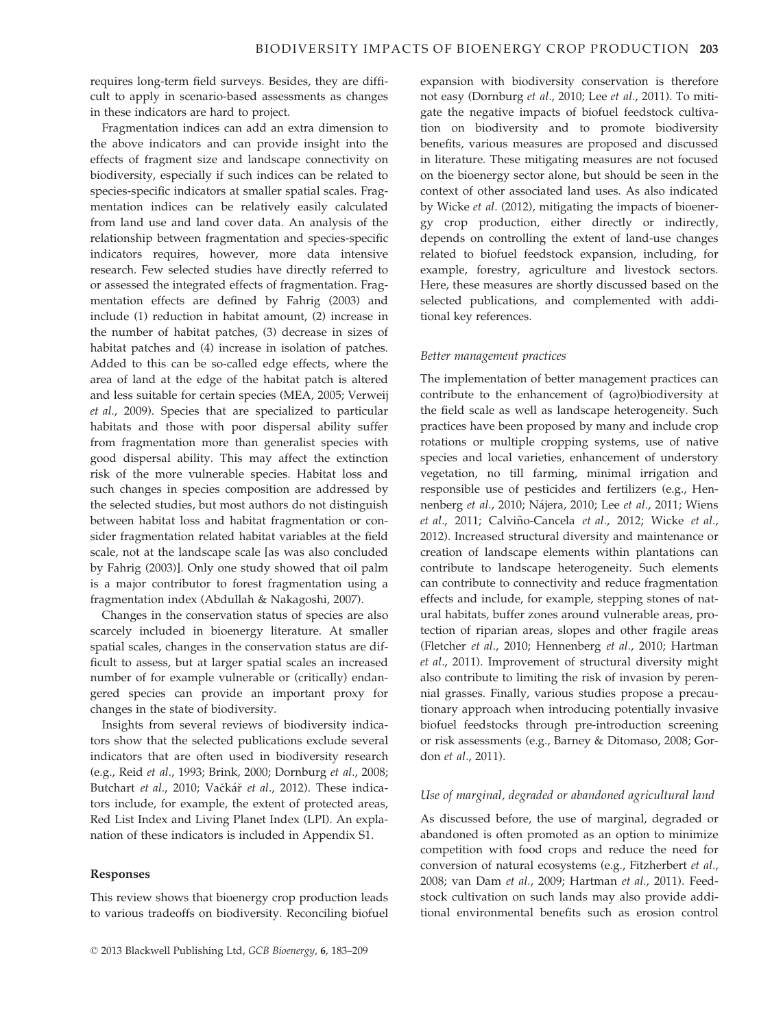requires long-term field surveys. Besides, they are difficult to apply in scenario-based assessments as changes in these indicators are hard to project.

Fragmentation indices can add an extra dimension to the above indicators and can provide insight into the effects of fragment size and landscape connectivity on biodiversity, especially if such indices can be related to species-specific indicators at smaller spatial scales. Fragmentation indices can be relatively easily calculated from land use and land cover data. An analysis of the relationship between fragmentation and species-specific indicators requires, however, more data intensive research. Few selected studies have directly referred to or assessed the integrated effects of fragmentation. Fragmentation effects are defined by Fahrig (2003) and include (1) reduction in habitat amount, (2) increase in the number of habitat patches, (3) decrease in sizes of habitat patches and (4) increase in isolation of patches. Added to this can be so-called edge effects, where the area of land at the edge of the habitat patch is altered and less suitable for certain species (MEA, 2005; Verweij et al., 2009). Species that are specialized to particular habitats and those with poor dispersal ability suffer from fragmentation more than generalist species with good dispersal ability. This may affect the extinction risk of the more vulnerable species. Habitat loss and such changes in species composition are addressed by the selected studies, but most authors do not distinguish between habitat loss and habitat fragmentation or consider fragmentation related habitat variables at the field scale, not at the landscape scale [as was also concluded by Fahrig (2003)]. Only one study showed that oil palm is a major contributor to forest fragmentation using a fragmentation index (Abdullah & Nakagoshi, 2007).

Changes in the conservation status of species are also scarcely included in bioenergy literature. At smaller spatial scales, changes in the conservation status are difficult to assess, but at larger spatial scales an increased number of for example vulnerable or (critically) endangered species can provide an important proxy for changes in the state of biodiversity.

Insights from several reviews of biodiversity indicators show that the selected publications exclude several indicators that are often used in biodiversity research (e.g., Reid et al., 1993; Brink, 2000; Dornburg et al., 2008; Butchart et al., 2010; Vačkář et al., 2012). These indicators include, for example, the extent of protected areas, Red List Index and Living Planet Index (LPI). An explanation of these indicators is included in Appendix S1.

## Responses

This review shows that bioenergy crop production leads to various tradeoffs on biodiversity. Reconciling biofuel expansion with biodiversity conservation is therefore not easy (Dornburg et al., 2010; Lee et al., 2011). To mitigate the negative impacts of biofuel feedstock cultivation on biodiversity and to promote biodiversity benefits, various measures are proposed and discussed in literature. These mitigating measures are not focused on the bioenergy sector alone, but should be seen in the context of other associated land uses. As also indicated by Wicke et al. (2012), mitigating the impacts of bioenergy crop production, either directly or indirectly, depends on controlling the extent of land-use changes related to biofuel feedstock expansion, including, for example, forestry, agriculture and livestock sectors. Here, these measures are shortly discussed based on the selected publications, and complemented with additional key references.

#### Better management practices

The implementation of better management practices can contribute to the enhancement of (agro)biodiversity at the field scale as well as landscape heterogeneity. Such practices have been proposed by many and include crop rotations or multiple cropping systems, use of native species and local varieties, enhancement of understory vegetation, no till farming, minimal irrigation and responsible use of pesticides and fertilizers (e.g., Hennenberg et al., 2010; Nájera, 2010; Lee et al., 2011; Wiens et al., 2011; Calviño-Cancela et al., 2012; Wicke et al., 2012). Increased structural diversity and maintenance or creation of landscape elements within plantations can contribute to landscape heterogeneity. Such elements can contribute to connectivity and reduce fragmentation effects and include, for example, stepping stones of natural habitats, buffer zones around vulnerable areas, protection of riparian areas, slopes and other fragile areas (Fletcher et al., 2010; Hennenberg et al., 2010; Hartman et al., 2011). Improvement of structural diversity might also contribute to limiting the risk of invasion by perennial grasses. Finally, various studies propose a precautionary approach when introducing potentially invasive biofuel feedstocks through pre-introduction screening or risk assessments (e.g., Barney & Ditomaso, 2008; Gordon et al., 2011).

#### Use of marginal, degraded or abandoned agricultural land

As discussed before, the use of marginal, degraded or abandoned is often promoted as an option to minimize competition with food crops and reduce the need for conversion of natural ecosystems (e.g., Fitzherbert et al., 2008; van Dam et al., 2009; Hartman et al., 2011). Feedstock cultivation on such lands may also provide additional environmental benefits such as erosion control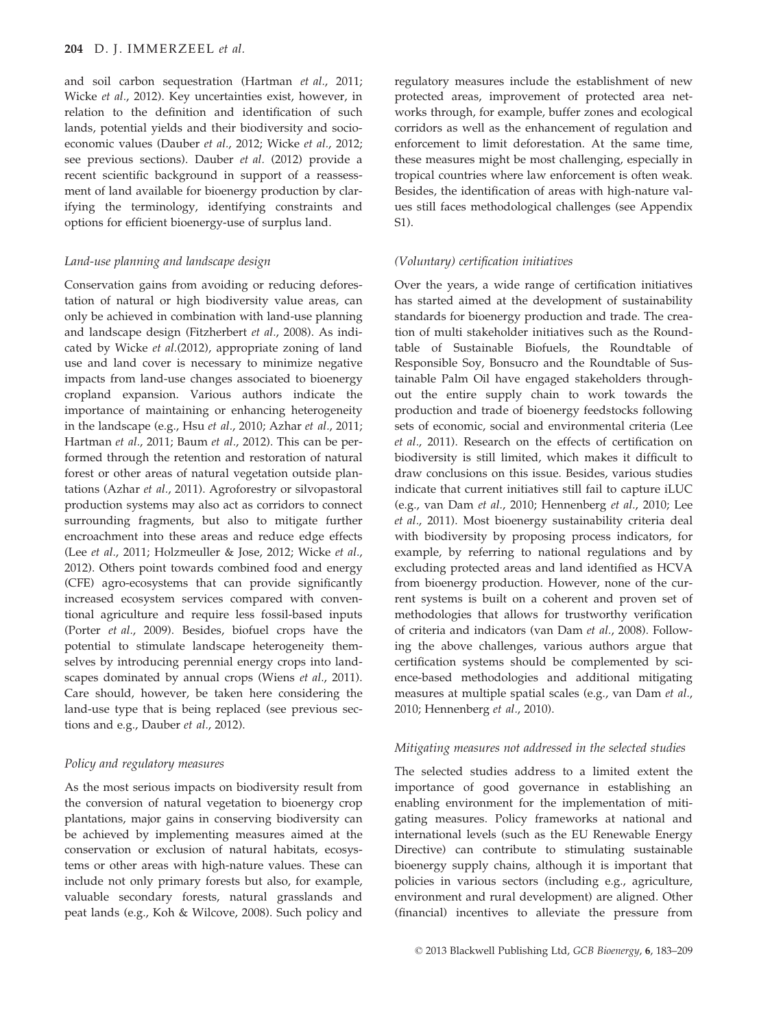## 204 D. J. IMMERZEEL et al.

and soil carbon sequestration (Hartman et al., 2011; Wicke et al., 2012). Key uncertainties exist, however, in relation to the definition and identification of such lands, potential yields and their biodiversity and socioeconomic values (Dauber et al., 2012; Wicke et al., 2012; see previous sections). Dauber et al. (2012) provide a recent scientific background in support of a reassessment of land available for bioenergy production by clarifying the terminology, identifying constraints and options for efficient bioenergy-use of surplus land.

## Land-use planning and landscape design

Conservation gains from avoiding or reducing deforestation of natural or high biodiversity value areas, can only be achieved in combination with land-use planning and landscape design (Fitzherbert et al., 2008). As indicated by Wicke et al.(2012), appropriate zoning of land use and land cover is necessary to minimize negative impacts from land-use changes associated to bioenergy cropland expansion. Various authors indicate the importance of maintaining or enhancing heterogeneity in the landscape (e.g., Hsu et al., 2010; Azhar et al., 2011; Hartman et al., 2011; Baum et al., 2012). This can be performed through the retention and restoration of natural forest or other areas of natural vegetation outside plantations (Azhar et al., 2011). Agroforestry or silvopastoral production systems may also act as corridors to connect surrounding fragments, but also to mitigate further encroachment into these areas and reduce edge effects (Lee et al., 2011; Holzmeuller & Jose, 2012; Wicke et al., 2012). Others point towards combined food and energy (CFE) agro-ecosystems that can provide significantly increased ecosystem services compared with conventional agriculture and require less fossil-based inputs (Porter et al., 2009). Besides, biofuel crops have the potential to stimulate landscape heterogeneity themselves by introducing perennial energy crops into landscapes dominated by annual crops (Wiens et al., 2011). Care should, however, be taken here considering the land-use type that is being replaced (see previous sections and e.g., Dauber et al., 2012).

## Policy and regulatory measures

As the most serious impacts on biodiversity result from the conversion of natural vegetation to bioenergy crop plantations, major gains in conserving biodiversity can be achieved by implementing measures aimed at the conservation or exclusion of natural habitats, ecosystems or other areas with high-nature values. These can include not only primary forests but also, for example, valuable secondary forests, natural grasslands and peat lands (e.g., Koh & Wilcove, 2008). Such policy and regulatory measures include the establishment of new protected areas, improvement of protected area networks through, for example, buffer zones and ecological corridors as well as the enhancement of regulation and enforcement to limit deforestation. At the same time, these measures might be most challenging, especially in tropical countries where law enforcement is often weak. Besides, the identification of areas with high-nature values still faces methodological challenges (see Appendix S1).

## (Voluntary) certification initiatives

Over the years, a wide range of certification initiatives has started aimed at the development of sustainability standards for bioenergy production and trade. The creation of multi stakeholder initiatives such as the Roundtable of Sustainable Biofuels, the Roundtable of Responsible Soy, Bonsucro and the Roundtable of Sustainable Palm Oil have engaged stakeholders throughout the entire supply chain to work towards the production and trade of bioenergy feedstocks following sets of economic, social and environmental criteria (Lee et al., 2011). Research on the effects of certification on biodiversity is still limited, which makes it difficult to draw conclusions on this issue. Besides, various studies indicate that current initiatives still fail to capture iLUC (e.g., van Dam et al., 2010; Hennenberg et al., 2010; Lee et al., 2011). Most bioenergy sustainability criteria deal with biodiversity by proposing process indicators, for example, by referring to national regulations and by excluding protected areas and land identified as HCVA from bioenergy production. However, none of the current systems is built on a coherent and proven set of methodologies that allows for trustworthy verification of criteria and indicators (van Dam et al., 2008). Following the above challenges, various authors argue that certification systems should be complemented by science-based methodologies and additional mitigating measures at multiple spatial scales (e.g., van Dam et al., 2010; Hennenberg et al., 2010).

#### Mitigating measures not addressed in the selected studies

The selected studies address to a limited extent the importance of good governance in establishing an enabling environment for the implementation of mitigating measures. Policy frameworks at national and international levels (such as the EU Renewable Energy Directive) can contribute to stimulating sustainable bioenergy supply chains, although it is important that policies in various sectors (including e.g., agriculture, environment and rural development) are aligned. Other (financial) incentives to alleviate the pressure from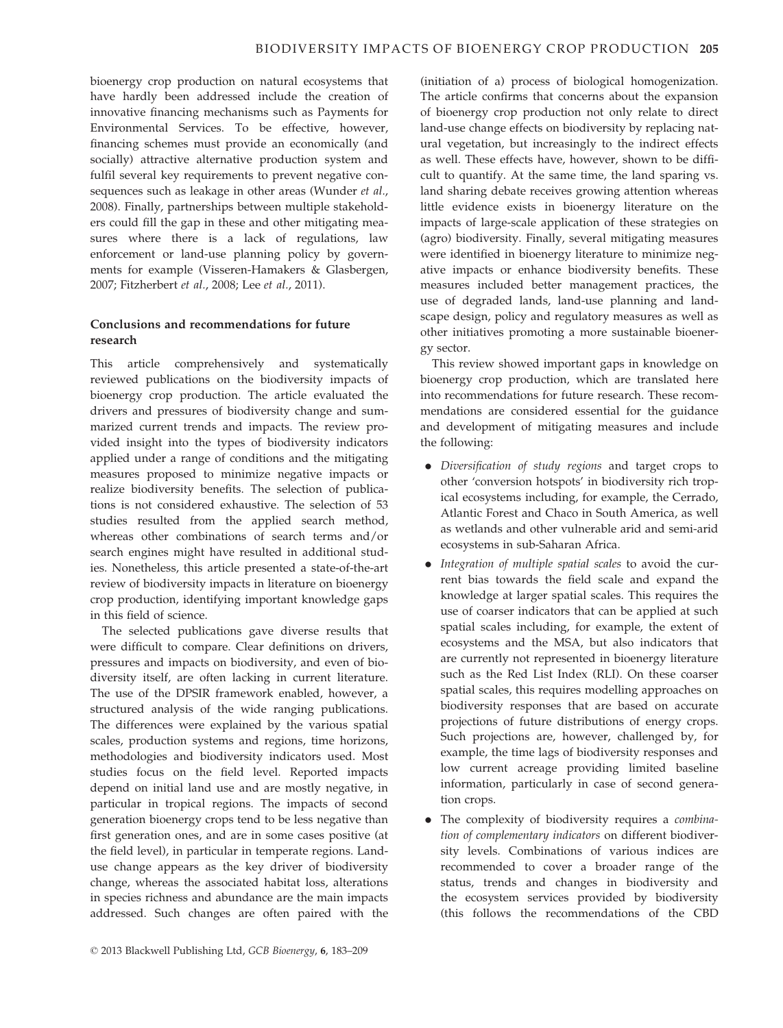bioenergy crop production on natural ecosystems that have hardly been addressed include the creation of innovative financing mechanisms such as Payments for Environmental Services. To be effective, however, financing schemes must provide an economically (and socially) attractive alternative production system and fulfil several key requirements to prevent negative consequences such as leakage in other areas (Wunder et al., 2008). Finally, partnerships between multiple stakeholders could fill the gap in these and other mitigating measures where there is a lack of regulations, law enforcement or land-use planning policy by governments for example (Visseren-Hamakers & Glasbergen, 2007; Fitzherbert et al., 2008; Lee et al., 2011).

# Conclusions and recommendations for future research

This article comprehensively and systematically reviewed publications on the biodiversity impacts of bioenergy crop production. The article evaluated the drivers and pressures of biodiversity change and summarized current trends and impacts. The review provided insight into the types of biodiversity indicators applied under a range of conditions and the mitigating measures proposed to minimize negative impacts or realize biodiversity benefits. The selection of publications is not considered exhaustive. The selection of 53 studies resulted from the applied search method, whereas other combinations of search terms and/or search engines might have resulted in additional studies. Nonetheless, this article presented a state-of-the-art review of biodiversity impacts in literature on bioenergy crop production, identifying important knowledge gaps in this field of science.

The selected publications gave diverse results that were difficult to compare. Clear definitions on drivers, pressures and impacts on biodiversity, and even of biodiversity itself, are often lacking in current literature. The use of the DPSIR framework enabled, however, a structured analysis of the wide ranging publications. The differences were explained by the various spatial scales, production systems and regions, time horizons, methodologies and biodiversity indicators used. Most studies focus on the field level. Reported impacts depend on initial land use and are mostly negative, in particular in tropical regions. The impacts of second generation bioenergy crops tend to be less negative than first generation ones, and are in some cases positive (at the field level), in particular in temperate regions. Landuse change appears as the key driver of biodiversity change, whereas the associated habitat loss, alterations in species richness and abundance are the main impacts addressed. Such changes are often paired with the

(initiation of a) process of biological homogenization. The article confirms that concerns about the expansion of bioenergy crop production not only relate to direct land-use change effects on biodiversity by replacing natural vegetation, but increasingly to the indirect effects as well. These effects have, however, shown to be difficult to quantify. At the same time, the land sparing vs. land sharing debate receives growing attention whereas little evidence exists in bioenergy literature on the impacts of large-scale application of these strategies on (agro) biodiversity. Finally, several mitigating measures were identified in bioenergy literature to minimize negative impacts or enhance biodiversity benefits. These measures included better management practices, the use of degraded lands, land-use planning and landscape design, policy and regulatory measures as well as other initiatives promoting a more sustainable bioenergy sector.

This review showed important gaps in knowledge on bioenergy crop production, which are translated here into recommendations for future research. These recommendations are considered essential for the guidance and development of mitigating measures and include the following:

- Diversification of study regions and target crops to other 'conversion hotspots' in biodiversity rich tropical ecosystems including, for example, the Cerrado, Atlantic Forest and Chaco in South America, as well as wetlands and other vulnerable arid and semi-arid ecosystems in sub-Saharan Africa.
- Integration of multiple spatial scales to avoid the current bias towards the field scale and expand the knowledge at larger spatial scales. This requires the use of coarser indicators that can be applied at such spatial scales including, for example, the extent of ecosystems and the MSA, but also indicators that are currently not represented in bioenergy literature such as the Red List Index (RLI). On these coarser spatial scales, this requires modelling approaches on biodiversity responses that are based on accurate projections of future distributions of energy crops. Such projections are, however, challenged by, for example, the time lags of biodiversity responses and low current acreage providing limited baseline information, particularly in case of second generation crops.
- The complexity of biodiversity requires a *combina*tion of complementary indicators on different biodiversity levels. Combinations of various indices are recommended to cover a broader range of the status, trends and changes in biodiversity and the ecosystem services provided by biodiversity (this follows the recommendations of the CBD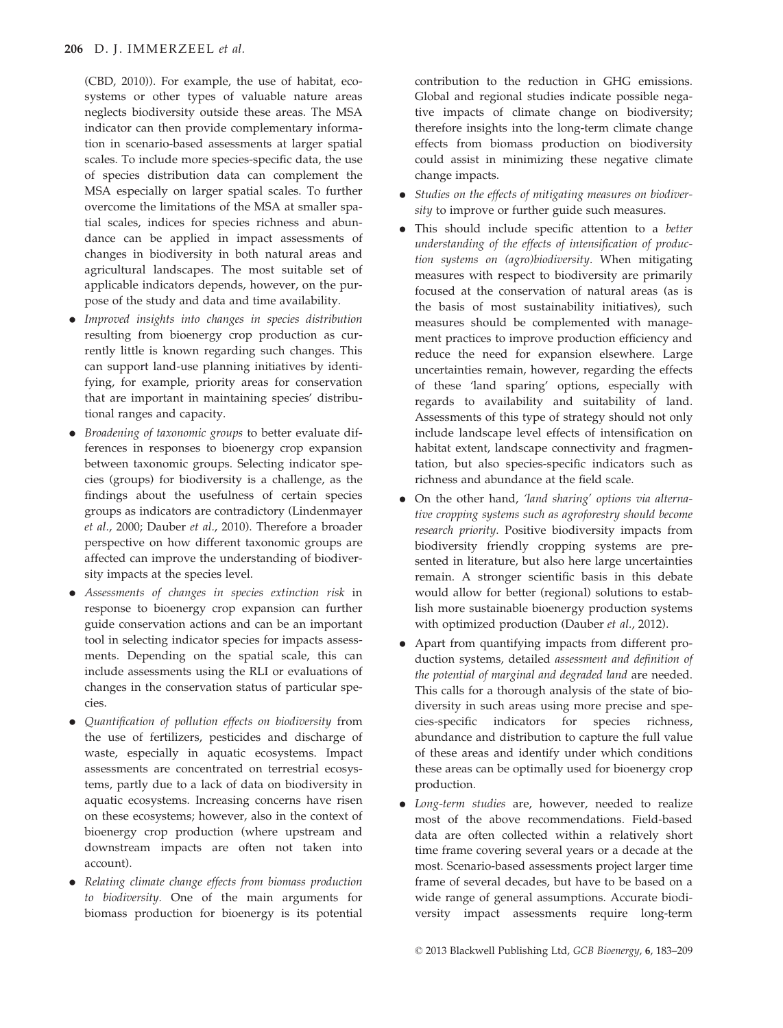(CBD, 2010)). For example, the use of habitat, ecosystems or other types of valuable nature areas neglects biodiversity outside these areas. The MSA indicator can then provide complementary information in scenario-based assessments at larger spatial scales. To include more species-specific data, the use of species distribution data can complement the MSA especially on larger spatial scales. To further overcome the limitations of the MSA at smaller spatial scales, indices for species richness and abundance can be applied in impact assessments of changes in biodiversity in both natural areas and agricultural landscapes. The most suitable set of applicable indicators depends, however, on the purpose of the study and data and time availability.

- Improved insights into changes in species distribution resulting from bioenergy crop production as currently little is known regarding such changes. This can support land-use planning initiatives by identifying, for example, priority areas for conservation that are important in maintaining species' distributional ranges and capacity.
- Broadening of taxonomic groups to better evaluate differences in responses to bioenergy crop expansion between taxonomic groups. Selecting indicator species (groups) for biodiversity is a challenge, as the findings about the usefulness of certain species groups as indicators are contradictory (Lindenmayer et al., 2000; Dauber et al., 2010). Therefore a broader perspective on how different taxonomic groups are affected can improve the understanding of biodiversity impacts at the species level.
- Assessments of changes in species extinction risk in response to bioenergy crop expansion can further guide conservation actions and can be an important tool in selecting indicator species for impacts assessments. Depending on the spatial scale, this can include assessments using the RLI or evaluations of changes in the conservation status of particular species.
- Quantification of pollution effects on biodiversity from the use of fertilizers, pesticides and discharge of waste, especially in aquatic ecosystems. Impact assessments are concentrated on terrestrial ecosystems, partly due to a lack of data on biodiversity in aquatic ecosystems. Increasing concerns have risen on these ecosystems; however, also in the context of bioenergy crop production (where upstream and downstream impacts are often not taken into account).
- Relating climate change effects from biomass production to biodiversity. One of the main arguments for biomass production for bioenergy is its potential

contribution to the reduction in GHG emissions. Global and regional studies indicate possible negative impacts of climate change on biodiversity; therefore insights into the long-term climate change effects from biomass production on biodiversity could assist in minimizing these negative climate change impacts.

- Studies on the effects of mitigating measures on biodiversity to improve or further guide such measures.
- This should include specific attention to a better understanding of the effects of intensification of production systems on (agro)biodiversity. When mitigating measures with respect to biodiversity are primarily focused at the conservation of natural areas (as is the basis of most sustainability initiatives), such measures should be complemented with management practices to improve production efficiency and reduce the need for expansion elsewhere. Large uncertainties remain, however, regarding the effects of these 'land sparing' options, especially with regards to availability and suitability of land. Assessments of this type of strategy should not only include landscape level effects of intensification on habitat extent, landscape connectivity and fragmentation, but also species-specific indicators such as richness and abundance at the field scale.
- On the other hand, 'land sharing' options via alternative cropping systems such as agroforestry should become research priority. Positive biodiversity impacts from biodiversity friendly cropping systems are presented in literature, but also here large uncertainties remain. A stronger scientific basis in this debate would allow for better (regional) solutions to establish more sustainable bioenergy production systems with optimized production (Dauber et al., 2012).
- Apart from quantifying impacts from different production systems, detailed assessment and definition of the potential of marginal and degraded land are needed. This calls for a thorough analysis of the state of biodiversity in such areas using more precise and species-specific indicators for species richness, abundance and distribution to capture the full value of these areas and identify under which conditions these areas can be optimally used for bioenergy crop production.
- Long-term studies are, however, needed to realize most of the above recommendations. Field-based data are often collected within a relatively short time frame covering several years or a decade at the most. Scenario-based assessments project larger time frame of several decades, but have to be based on a wide range of general assumptions. Accurate biodiversity impact assessments require long-term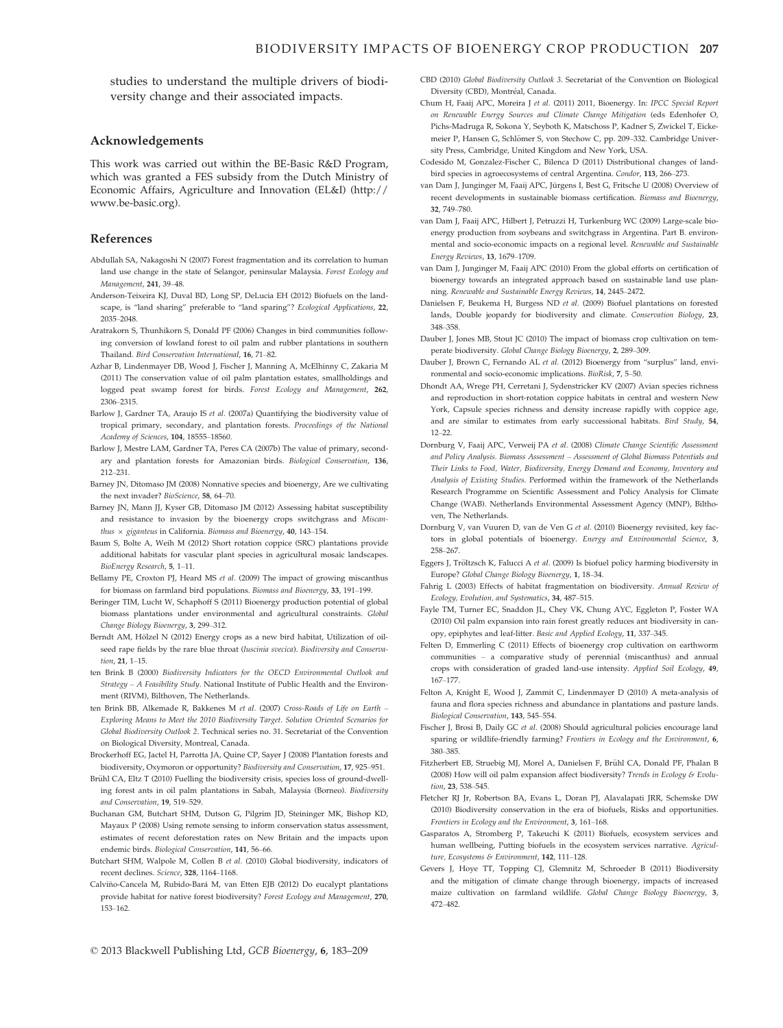studies to understand the multiple drivers of biodiversity change and their associated impacts.

#### Acknowledgements

This work was carried out within the BE-Basic R&D Program, which was granted a FES subsidy from the Dutch Ministry of Economic Affairs, Agriculture and Innovation (EL&I) (http:// www.be-basic.org).

#### References

- Abdullah SA, Nakagoshi N (2007) Forest fragmentation and its correlation to human land use change in the state of Selangor, peninsular Malaysia. Forest Ecology and Management, 241, 39–48.
- Anderson-Teixeira KJ, Duval BD, Long SP, DeLucia EH (2012) Biofuels on the landscape, is "land sharing" preferable to "land sparing"? Ecological Applications, 22, 2035–2048.
- Aratrakorn S, Thunhikorn S, Donald PF (2006) Changes in bird communities following conversion of lowland forest to oil palm and rubber plantations in southern Thailand. Bird Conservation International, 16, 71–82.
- Azhar B, Lindenmayer DB, Wood J, Fischer J, Manning A, McElhinny C, Zakaria M (2011) The conservation value of oil palm plantation estates, smallholdings and logged peat swamp forest for birds. Forest Ecology and Management, 262, 2306–2315.
- Barlow J, Gardner TA, Araujo IS et al. (2007a) Quantifying the biodiversity value of tropical primary, secondary, and plantation forests. Proceedings of the National Academy of Sciences, 104, 18555–18560.
- Barlow J, Mestre LAM, Gardner TA, Peres CA (2007b) The value of primary, secondary and plantation forests for Amazonian birds. Biological Conservation, 136, 212–231.
- Barney JN, Ditomaso JM (2008) Nonnative species and bioenergy, Are we cultivating the next invader? BioScience, 58, 64–70.
- Barney JN, Mann JJ, Kyser GB, Ditomaso JM (2012) Assessing habitat susceptibility and resistance to invasion by the bioenergy crops switchgrass and Miscanthus  $\times$  giganteus in California. Biomass and Bioenergy, 40, 143–154.
- Baum S, Bolte A, Weih M (2012) Short rotation coppice (SRC) plantations provide additional habitats for vascular plant species in agricultural mosaic landscapes. BioEnergy Research, 5, 1–11.
- Bellamy PE, Croxton PJ, Heard MS et al. (2009) The impact of growing miscanthus for biomass on farmland bird populations. Biomass and Bioenergy, 33, 191–199.
- Beringer TIM, Lucht W, Schaphoff S (2011) Bioenergy production potential of global biomass plantations under environmental and agricultural constraints. Global Change Biology Bioenergy, 3, 299–312.
- Berndt AM, Hölzel N (2012) Energy crops as a new bird habitat, Utilization of oilseed rape fields by the rare blue throat (luscinia svecica). Biodiversity and Conservation, 21, 1–15.
- ten Brink B (2000) Biodiversity Indicators for the OECD Environmental Outlook and Strategy – A Feasibility Study. National Institute of Public Health and the Environment (RIVM), Bilthoven, The Netherlands.
- ten Brink BB, Alkemade R, Bakkenes M et al. (2007) Cross-Roads of Life on Earth Exploring Means to Meet the 2010 Biodiversity Target. Solution Oriented Scenarios for Global Biodiversity Outlook 2. Technical series no. 31. Secretariat of the Convention on Biological Diversity, Montreal, Canada.
- Brockerhoff EG, Jactel H, Parrotta JA, Quine CP, Sayer J (2008) Plantation forests and biodiversity, Oxymoron or opportunity? Biodiversity and Conservation, 17, 925–951.
- Brühl CA, Eltz T (2010) Fuelling the biodiversity crisis, species loss of ground-dwelling forest ants in oil palm plantations in Sabah, Malaysia (Borneo). Biodiversity and Conservation, 19, 519–529.
- Buchanan GM, Butchart SHM, Dutson G, Pilgrim JD, Steininger MK, Bishop KD, Mayaux P (2008) Using remote sensing to inform conservation status assessment, estimates of recent deforestation rates on New Britain and the impacts upon endemic birds. Biological Conservation, 141, 56-66
- Butchart SHM, Walpole M, Collen B et al. (2010) Global biodiversity, indicators of recent declines. Science, 328, 1164–1168.
- Calviño-Cancela M, Rubido-Bará M, van Etten EJB (2012) Do eucalypt plantations provide habitat for native forest biodiversity? Forest Ecology and Management, 270, 153–162.
- CBD (2010) Global Biodiversity Outlook 3. Secretariat of the Convention on Biological Diversity (CBD), Montréal, Canada.
- Chum H, Faaij APC, Moreira J et al. (2011) 2011, Bioenergy. In: IPCC Special Report on Renewable Energy Sources and Climate Change Mitigation (eds Edenhofer O, Pichs-Madruga R, Sokona Y, Seyboth K, Matschoss P, Kadner S, Zwickel T, Eickemeier P, Hansen G, Schlömer S, von Stechow C, pp. 209-332. Cambridge University Press, Cambridge, United Kingdom and New York, USA.
- Codesido M, Gonzalez-Fischer C, Bilenca D (2011) Distributional changes of landbird species in agroecosystems of central Argentina. Condor, 113, 266–273.
- van Dam J, Junginger M, Faaij APC, Jürgens I, Best G, Fritsche U (2008) Overview of recent developments in sustainable biomass certification. Biomass and Bioenergy, 32, 749–780.
- van Dam J, Faaij APC, Hilbert J, Petruzzi H, Turkenburg WC (2009) Large-scale bioenergy production from soybeans and switchgrass in Argentina. Part B. environmental and socio-economic impacts on a regional level. Renewable and Sustainable Energy Reviews, 13, 1679–1709.
- van Dam J, Junginger M, Faaij APC (2010) From the global efforts on certification of bioenergy towards an integrated approach based on sustainable land use planning. Renewable and Sustainable Energy Reviews, 14, 2445–2472.
- Danielsen F, Beukema H, Burgess ND et al. (2009) Biofuel plantations on forested lands, Double jeopardy for biodiversity and climate. Conservation Biology, 23, 348–358.
- Dauber J, Jones MB, Stout JC (2010) The impact of biomass crop cultivation on temperate biodiversity. Global Change Biology Bioenergy, 2, 289–309.
- Dauber J, Brown C, Fernando AL et al. (2012) Bioenergy from "surplus" land, environmental and socio-economic implications. BioRisk, 7, 5–50.
- Dhondt AA, Wrege PH, Cerretani J, Sydenstricker KV (2007) Avian species richness and reproduction in short-rotation coppice habitats in central and western New York, Capsule species richness and density increase rapidly with coppice age, and are similar to estimates from early successional habitats. Bird Study, 54, 12–22.
- Dornburg V, Faaij APC, Verweij PA et al. (2008) Climate Change Scientific Assessment and Policy Analysis. Biomass Assessment – Assessment of Global Biomass Potentials and Their Links to Food, Water, Biodiversity, Energy Demand and Economy, Inventory and Analysis of Existing Studies. Performed within the framework of the Netherlands Research Programme on Scientific Assessment and Policy Analysis for Climate Change (WAB). Netherlands Environmental Assessment Agency (MNP), Bilthoven, The Netherlands.
- Dornburg V, van Vuuren D, van de Ven G et al. (2010) Bioenergy revisited, key factors in global potentials of bioenergy. Energy and Environmental Science, 3, 258–267.
- Eggers J, Tröltzsch K, Falucci A et al. (2009) Is biofuel policy harming biodiversity in Europe? Global Change Biology Bioenergy, 1, 18–34.
- Fahrig L (2003) Effects of habitat fragmentation on biodiversity. Annual Review of Ecology, Evolution, and Systematics, 34, 487–515.
- Fayle TM, Turner EC, Snaddon JL, Chey VK, Chung AYC, Eggleton P, Foster WA (2010) Oil palm expansion into rain forest greatly reduces ant biodiversity in canopy, epiphytes and leaf-litter. Basic and Applied Ecology, 11, 337–345.
- Felten D, Emmerling C (2011) Effects of bioenergy crop cultivation on earthworm communities – a comparative study of perennial (miscanthus) and annual crops with consideration of graded land-use intensity. Applied Soil Ecology, 49, 167–177.
- Felton A, Knight E, Wood J, Zammit C, Lindenmayer D (2010) A meta-analysis of fauna and flora species richness and abundance in plantations and pasture lands. Biological Conservation, 143, 545–554.
- Fischer J, Brosi B, Daily GC et al. (2008) Should agricultural policies encourage land sparing or wildlife-friendly farming? Frontiers in Ecology and the Environment, 6, 380–385.
- Fitzherbert EB, Struebig MJ, Morel A, Danielsen F, Brühl CA, Donald PF, Phalan B (2008) How will oil palm expansion affect biodiversity? Trends in Ecology & Evolution, 23, 538–545.
- Fletcher RJ Jr, Robertson BA, Evans L, Doran PJ, Alavalapati JRR, Schemske DW (2010) Biodiversity conservation in the era of biofuels, Risks and opportunities. Frontiers in Ecology and the Environment, 3, 161–168.
- Gasparatos A, Stromberg P, Takeuchi K (2011) Biofuels, ecosystem services and human wellbeing, Putting biofuels in the ecosystem services narrative. Agriculture, Ecosystems & Environment, 142, 111–128.
- Gevers J, Hoye TT, Topping CJ, Glemnitz M, Schroeder B (2011) Biodiversity and the mitigation of climate change through bioenergy, impacts of increased maize cultivation on farmland wildlife. Global Change Biology Bioenergy, 3, 472–482.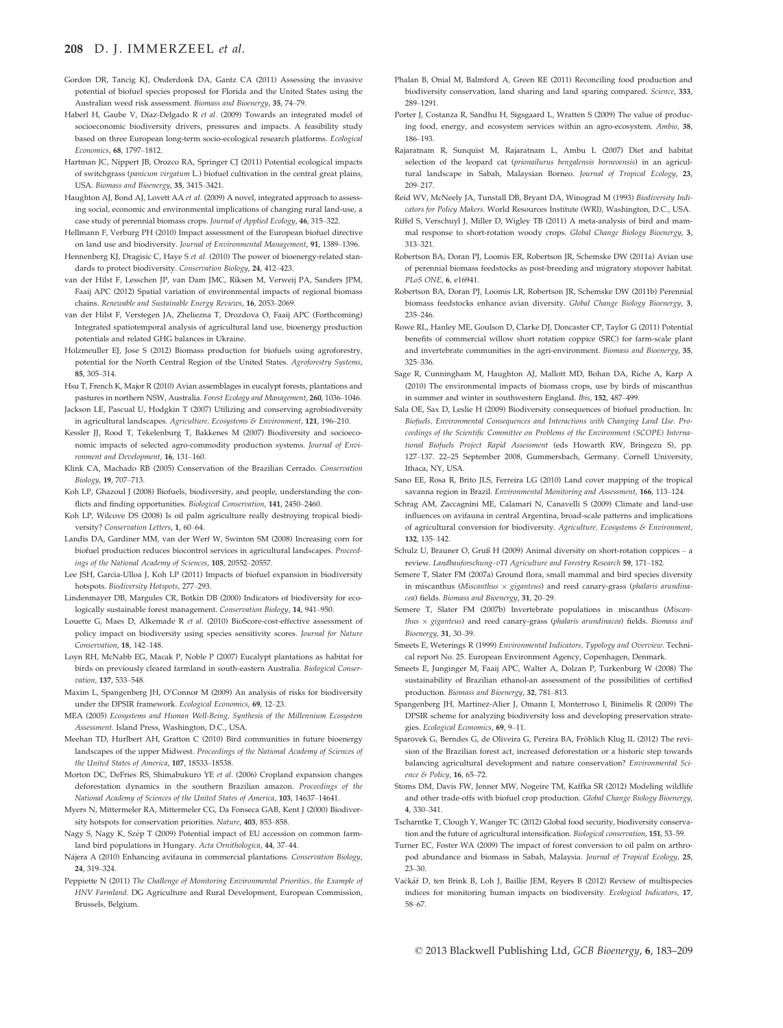## 208 D. J. IMMERZEEL et al.

- Gordon DR, Tancig KJ, Onderdonk DA, Gantz CA (2011) Assessing the invasive potential of biofuel species proposed for Florida and the United States using the Australian weed risk assessment. Biomass and Bioenergy, 35, 74–79.
- Haberl H, Gaube V, Díaz-Delgado R et al. (2009) Towards an integrated model of socioeconomic biodiversity drivers, pressures and impacts. A feasibility study based on three European long-term socio-ecological research platforms. Ecological Economics, 68, 1797–1812.
- Hartman JC, Nippert JB, Orozco RA, Springer CJ (2011) Potential ecological impacts of switchgrass (panicum virgatum L.) biofuel cultivation in the central great plains, USA. Biomass and Bioenergy, 35, 3415–3421.
- Haughton AJ, Bond AJ, Lovett AA et al. (2009) A novel, integrated approach to assessing social, economic and environmental implications of changing rural land-use, a case study of perennial biomass crops. Journal of Applied Ecology, 46, 315–322.
- Hellmann F, Verburg PH (2010) Impact assessment of the European biofuel directive on land use and biodiversity. Journal of Environmental Management, 91, 1389–1396.
- Hennenberg KJ, Dragisic C, Haye S et al. (2010) The power of bioenergy-related standards to protect biodiversity. Conservation Biology, 24, 412–423.
- van der Hilst F, Lesschen JP, van Dam JMC, Riksen M, Verweij PA, Sanders JPM, Faaij APC (2012) Spatial variation of environmental impacts of regional biomass chains. Renewable and Sustainable Energy Reviews, 16, 2053–2069.
- van der Hilst F, Verstegen JA, Zheliezna T, Drozdova O, Faaij APC (Forthcoming) Integrated spatiotemporal analysis of agricultural land use, bioenergy production potentials and related GHG balances in Ukraine.
- Holzmeuller EJ, Jose S (2012) Biomass production for biofuels using agroforestry, potential for the North Central Region of the United States. Agroforestry Systems, 85, 305–314.
- Hsu T, French K, Major R (2010) Avian assemblages in eucalypt forests, plantations and pastures in northern NSW, Australia. Forest Ecology and Management, 260, 1036–1046.
- Jackson LE, Pascual U, Hodgkin T (2007) Utilizing and conserving agrobiodiversity in agricultural landscapes. Agriculture, Ecosystems & Environment, 121, 196–210.
- Kessler JJ, Rood T, Tekelenburg T, Bakkenes M (2007) Biodiversity and socioeconomic impacts of selected agro-commodity production systems. Journal of Environment and Development, 16, 131–160.
- Klink CA, Machado RB (2005) Conservation of the Brazilian Cerrado. Conservation Biology, 19, 707–713.
- Koh LP, Ghazoul J (2008) Biofuels, biodiversity, and people, understanding the conflicts and finding opportunities. Biological Conservation, 141, 2450–2460.
- Koh LP, Wilcove DS (2008) Is oil palm agriculture really destroying tropical biodiversity? Conservation Letters, 1, 60-64
- Landis DA, Gardiner MM, van der Werf W, Swinton SM (2008) Increasing corn for biofuel production reduces biocontrol services in agricultural landscapes. Proceedings of the National Academy of Sciences, 105, 20552–20557.
- Lee JSH, Garcia-Ulloa J, Koh LP (2011) Impacts of biofuel expansion in biodiversity hotspots. Biodiversity Hotspots, 277–293.
- Lindenmayer DB, Margules CR, Botkin DB (2000) Indicators of biodiversity for ecologically sustainable forest management. Conservation Biology, 14, 941–950.
- Louette G, Maes D, Alkemade R et al. (2010) BioScore-cost-effective assessment of policy impact on biodiversity using species sensitivity scores. Journal for Nature Conservation, 18, 142–148.
- Loyn RH, McNabb EG, Macak P, Noble P (2007) Eucalypt plantations as habitat for birds on previously cleared farmland in south-eastern Australia. Biological Conservation, 137, 533–548.
- Maxim L, Spangenberg JH, O'Connor M (2009) An analysis of risks for biodiversity under the DPSIR framework. Ecological Economics, 69, 12–23.
- MEA (2005) Ecosystems and Human Well-Being, Synthesis of the Millennium Ecosystem Assessment. Island Press, Washington, D.C., USA.
- Meehan TD, Hurlbert AH, Gratton C (2010) Bird communities in future bioenergy landscapes of the upper Midwest. Proceedings of the National Academy of Sciences of the United States of America, 107, 18533–18538.
- Morton DC, DeFries RS, Shimabukuro YE et al. (2006) Cropland expansion changes deforestation dynamics in the southern Brazilian amazon. *Proceedings of the* National Academy of Sciences of the United States of America, 103, 14637–14641.
- Myers N, Mittermeler RA, Mittermeler CG, Da Fonseca GAB, Kent J (2000) Biodiversity hotspots for conservation priorities. Nature, 403, 853–858.
- Nagy S, Nagy K, Szép T (2009) Potential impact of EU accession on common farmland bird populations in Hungary. Acta Ornithologica, 44, 37–44.
- Najera A (2010) Enhancing avifauna in commercial plantations. Conservation Biology, 24, 319–324.
- Peppiette N (2011) The Challenge of Monitoring Environmental Priorities, the Example of HNV Farmland. DG Agriculture and Rural Development, European Commission, Brussels, Belgium.
- Phalan B, Onial M, Balmford A, Green RE (2011) Reconciling food production and biodiversity conservation, land sharing and land sparing compared. Science, 333, 289–1291.
- Porter J, Costanza R, Sandhu H, Sigsgaard L, Wratten S (2009) The value of producing food, energy, and ecosystem services within an agro-ecosystem. Ambio, 38, 186–193.
- Rajaratnam R, Sunquist M, Rajaratnam L, Ambu L (2007) Diet and habitat selection of the leopard cat (prionailurus bengalensis borneoensis) in an agricultural landscape in Sabah, Malaysian Borneo. Journal of Tropical Ecology, 23, 209–217.
- Reid WV, McNeely JA, Tunstall DB, Bryant DA, Winograd M (1993) Biodiversity Indicators for Policy Makers. World Resources Institute (WRI), Washington, D.C., USA.
- Riffel S, Verschuyl J, Miller D, Wigley TB (2011) A meta-analysis of bird and mammal response to short-rotation woody crops. Global Change Biology Bioenergy, 3, 313–321.
- Robertson BA, Doran PJ, Loomis ER, Robertson JR, Schemske DW (2011a) Avian use of perennial biomass feedstocks as post-breeding and migratory stopover habitat. PLoS ONE, 6, e16941.
- Robertson BA, Doran PJ, Loomis LR, Robertson JR, Schemske DW (2011b) Perennial biomass feedstocks enhance avian diversity. Global Change Biology Bioenergy, 3, 235–246.
- Rowe RL, Hanley ME, Goulson D, Clarke DJ, Doncaster CP, Taylor G (2011) Potential benefits of commercial willow short rotation coppice (SRC) for farm-scale plant and invertebrate communities in the agri-environment. Biomass and Bioenergy, 35, 325–336.
- Sage R, Cunningham M, Haughton AJ, Mallott MD, Bohan DA, Riche A, Karp A (2010) The environmental impacts of biomass crops, use by birds of miscanthus in summer and winter in southwestern England. Ibis, 152, 487–499.
- Sala OE, Sax D, Leslie H (2009) Biodiversity consequences of biofuel production. In: Biofuels, Environmental Consequences and Interactions with Changing Land Use. Proceedings of the Scientific Committee on Problems of the Environment (SCOPE) International Biofuels Project Rapid Assessment (eds Howarth RW, Bringezu S), pp. 127–137. 22–25 September 2008, Gummersbach, Germany. Cornell University, Ithaca, NY, USA.
- Sano EE, Rosa R, Brito JLS, Ferreira LG (2010) Land cover mapping of the tropical savanna region in Brazil. Environmental Monitoring and Assessment, 166, 113–124.
- Schrag AM, Zaccagnini ME, Calamari N, Canavelli S (2009) Climate and land-use influences on avifauna in central Argentina, broad-scale patterns and implications of agricultural conversion for biodiversity. Agriculture, Ecosystems & Environment, 132, 135–142.
- Schulz U, Brauner O, Gruß H (2009) Animal diversity on short-rotation coppices a review. Landbauforschung–vTI Agriculture and Forestry Research 59, 171–182.
- Semere T, Slater FM (2007a) Ground flora, small mammal and bird species diversity in miscanthus (Miscanthus  $\times$  giganteus) and reed canary-grass (phalaris arundinacea) fields. Biomass and Bioenergy, 31, 20–29.
- Semere T, Slater FM (2007b) Invertebrate populations in miscanthus (Miscanthus  $\times$  giganteus) and reed canary-grass (phalaris arundinacea) fields. Biomass and Bioenergy, 31, 30–39.
- Smeets E, Weterings R (1999) Environmental Indicators, Typology and Overview. Technical report No. 25. European Environment Agency, Copenhagen, Denmark.
- Smeets E, Junginger M, Faaij APC, Walter A, Dolzan P, Turkenburg W (2008) The sustainability of Brazilian ethanol-an assessment of the possibilities of certified production. Biomass and Bioenergy, 32, 781–813.
- Spangenberg JH, Martinez-Alier J, Omann I, Monterroso I, Binimelis R (2009) The DPSIR scheme for analyzing biodiversity loss and developing preservation strategies. Ecological Economics, 69, 9–11.
- Sparovek G, Berndes G, de Oliveira G, Pereira BA, Fröhlich Klug IL (2012) The revision of the Brazilian forest act, increased deforestation or a historic step towards balancing agricultural development and nature conservation? Environmental Science & Policy, 16, 65–72.
- Stoms DM, Davis FW, Jenner MW, Nogeire TM, Kaffka SR (2012) Modeling wildlife and other trade-offs with biofuel crop production. Global Change Biology Bioenergy, 4, 330–341.
- Tscharntke T, Clough Y, Wanger TC (2012) Global food security, biodiversity conservation and the future of agricultural intensification. Biological conservation, 151, 53–59.
- Turner EC, Foster WA (2009) The impact of forest conversion to oil palm on arthropod abundance and biomass in Sabah, Malaysia. Journal of Tropical Ecology, 25, 23–30.
- Vackar D, ten Brink B, Loh J, Baillie JEM, Reyers B (2012) Review of multispecies indices for monitoring human impacts on biodiversity. Ecological Indicators, 17, 58–67.